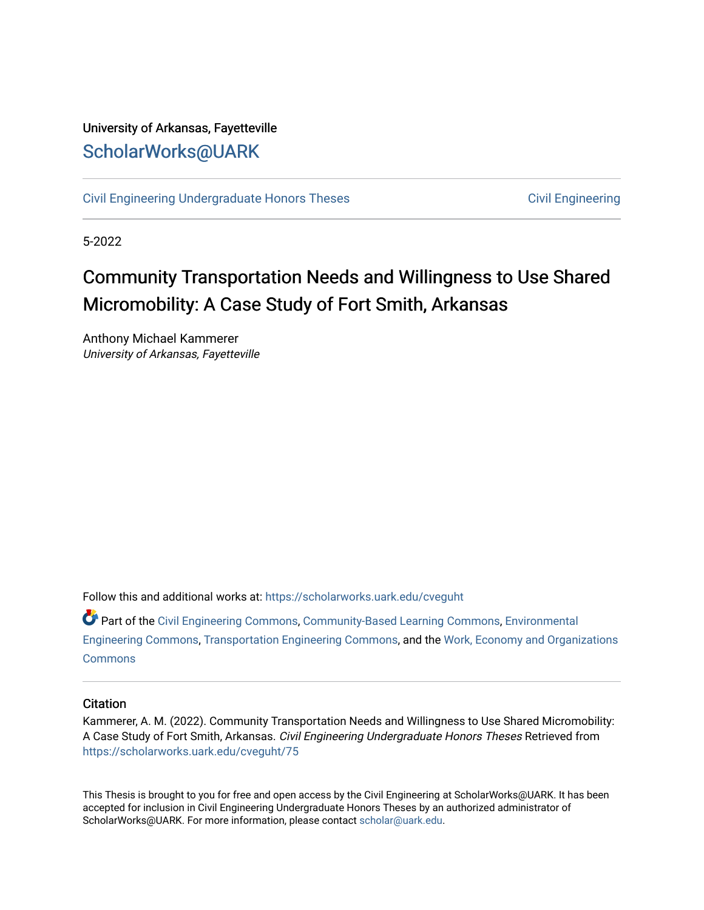## University of Arkansas, Fayetteville [ScholarWorks@UARK](https://scholarworks.uark.edu/)

[Civil Engineering Undergraduate Honors Theses](https://scholarworks.uark.edu/cveguht) [Civil Engineering](https://scholarworks.uark.edu/cveg) Civil Engineering

5-2022

# Community Transportation Needs and Willingness to Use Shared Micromobility: A Case Study of Fort Smith, Arkansas

Anthony Michael Kammerer University of Arkansas, Fayetteville

Follow this and additional works at: [https://scholarworks.uark.edu/cveguht](https://scholarworks.uark.edu/cveguht?utm_source=scholarworks.uark.edu%2Fcveguht%2F75&utm_medium=PDF&utm_campaign=PDFCoverPages)

Part of the [Civil Engineering Commons](http://network.bepress.com/hgg/discipline/252?utm_source=scholarworks.uark.edu%2Fcveguht%2F75&utm_medium=PDF&utm_campaign=PDFCoverPages), [Community-Based Learning Commons](http://network.bepress.com/hgg/discipline/1046?utm_source=scholarworks.uark.edu%2Fcveguht%2F75&utm_medium=PDF&utm_campaign=PDFCoverPages), [Environmental](http://network.bepress.com/hgg/discipline/254?utm_source=scholarworks.uark.edu%2Fcveguht%2F75&utm_medium=PDF&utm_campaign=PDFCoverPages) [Engineering Commons,](http://network.bepress.com/hgg/discipline/254?utm_source=scholarworks.uark.edu%2Fcveguht%2F75&utm_medium=PDF&utm_campaign=PDFCoverPages) [Transportation Engineering Commons](http://network.bepress.com/hgg/discipline/1329?utm_source=scholarworks.uark.edu%2Fcveguht%2F75&utm_medium=PDF&utm_campaign=PDFCoverPages), and the [Work, Economy and Organizations](http://network.bepress.com/hgg/discipline/433?utm_source=scholarworks.uark.edu%2Fcveguht%2F75&utm_medium=PDF&utm_campaign=PDFCoverPages)  **[Commons](http://network.bepress.com/hgg/discipline/433?utm_source=scholarworks.uark.edu%2Fcveguht%2F75&utm_medium=PDF&utm_campaign=PDFCoverPages)** 

## **Citation**

Kammerer, A. M. (2022). Community Transportation Needs and Willingness to Use Shared Micromobility: A Case Study of Fort Smith, Arkansas. Civil Engineering Undergraduate Honors Theses Retrieved from [https://scholarworks.uark.edu/cveguht/75](https://scholarworks.uark.edu/cveguht/75?utm_source=scholarworks.uark.edu%2Fcveguht%2F75&utm_medium=PDF&utm_campaign=PDFCoverPages) 

This Thesis is brought to you for free and open access by the Civil Engineering at ScholarWorks@UARK. It has been accepted for inclusion in Civil Engineering Undergraduate Honors Theses by an authorized administrator of ScholarWorks@UARK. For more information, please contact [scholar@uark.edu](mailto:scholar@uark.edu).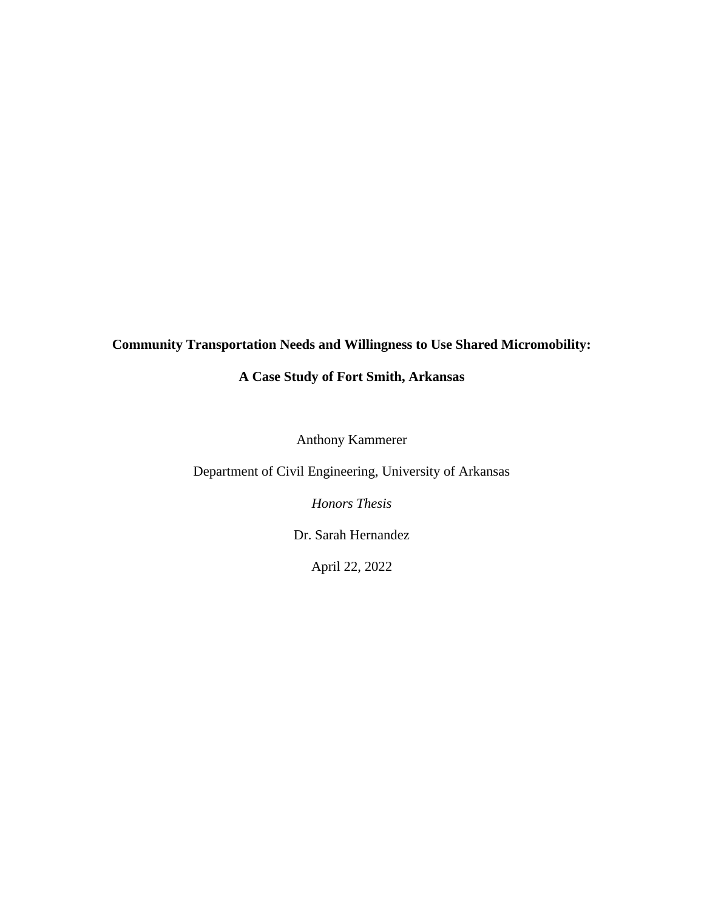## **Community Transportation Needs and Willingness to Use Shared Micromobility:**

## **A Case Study of Fort Smith, Arkansas**

Anthony Kammerer

Department of Civil Engineering, University of Arkansas

*Honors Thesis*

Dr. Sarah Hernandez

April 22, 2022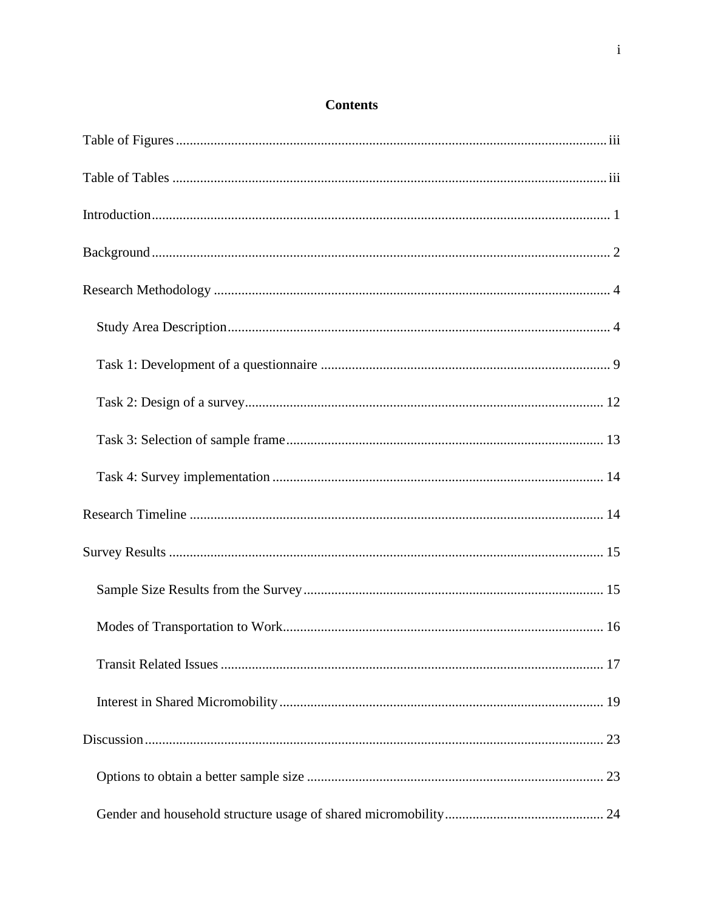## **Contents**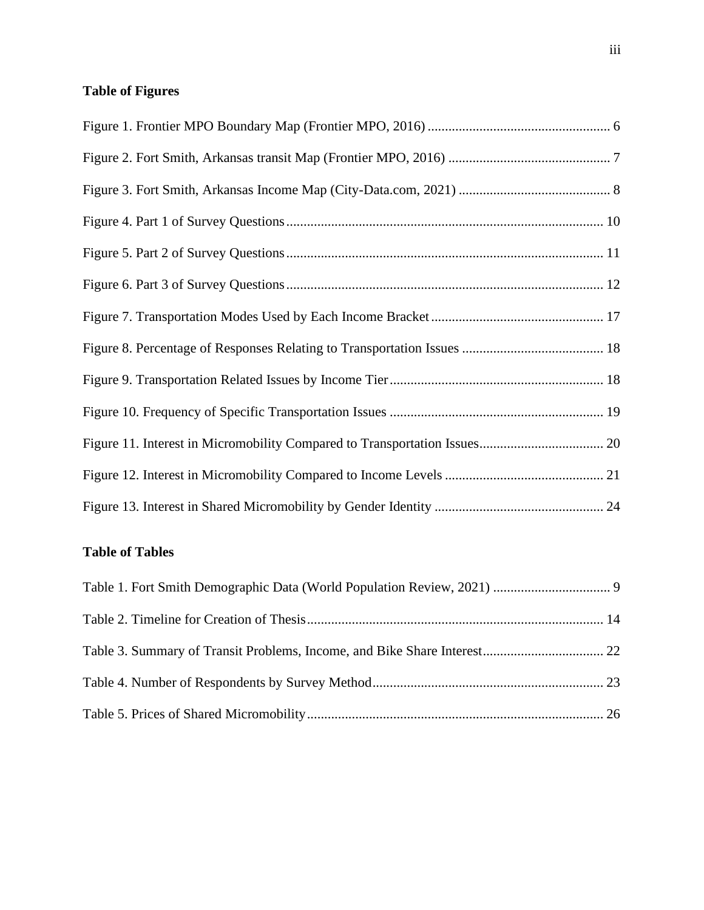## <span id="page-4-0"></span>**Table of Figures**

## <span id="page-4-1"></span>**Table of Tables**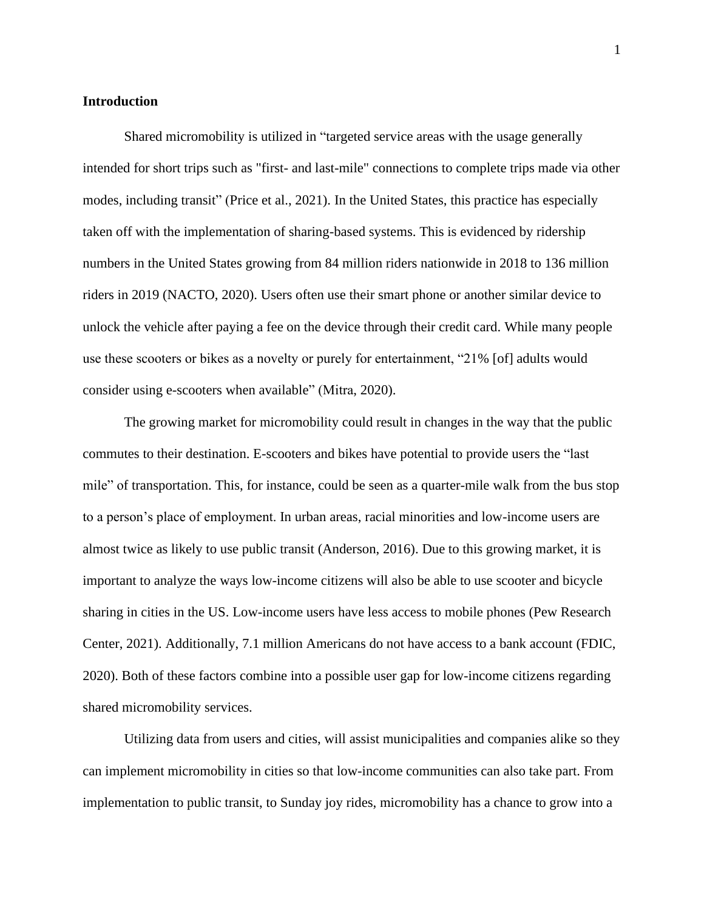## <span id="page-5-0"></span>**Introduction**

Shared micromobility is utilized in "targeted service areas with the usage generally intended for short trips such as "first- and last-mile" connections to complete trips made via other modes, including transit" (Price et al., 2021). In the United States, this practice has especially taken off with the implementation of sharing-based systems. This is evidenced by ridership numbers in the United States growing from 84 million riders nationwide in 2018 to 136 million riders in 2019 (NACTO, 2020). Users often use their smart phone or another similar device to unlock the vehicle after paying a fee on the device through their credit card. While many people use these scooters or bikes as a novelty or purely for entertainment, "21% [of] adults would consider using e-scooters when available" (Mitra, 2020).

The growing market for micromobility could result in changes in the way that the public commutes to their destination. E-scooters and bikes have potential to provide users the "last mile" of transportation. This, for instance, could be seen as a quarter-mile walk from the bus stop to a person's place of employment. In urban areas, racial minorities and low-income users are almost twice as likely to use public transit (Anderson, 2016). Due to this growing market, it is important to analyze the ways low-income citizens will also be able to use scooter and bicycle sharing in cities in the US. Low-income users have less access to mobile phones (Pew Research Center, 2021). Additionally, 7.1 million Americans do not have access to a bank account (FDIC, 2020). Both of these factors combine into a possible user gap for low-income citizens regarding shared micromobility services.

Utilizing data from users and cities, will assist municipalities and companies alike so they can implement micromobility in cities so that low-income communities can also take part. From implementation to public transit, to Sunday joy rides, micromobility has a chance to grow into a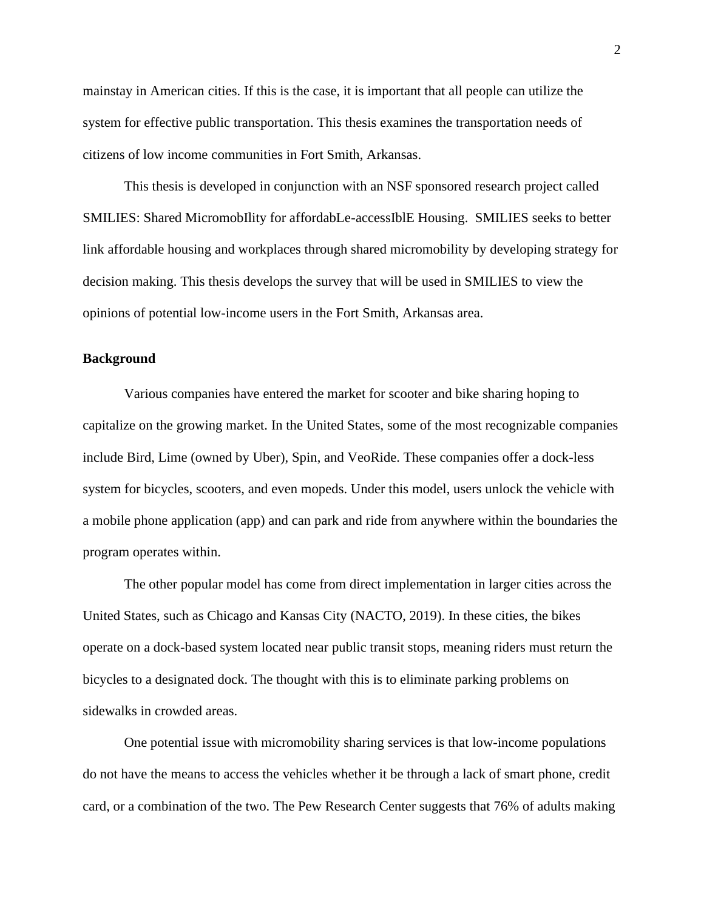mainstay in American cities. If this is the case, it is important that all people can utilize the system for effective public transportation. This thesis examines the transportation needs of citizens of low income communities in Fort Smith, Arkansas.

This thesis is developed in conjunction with an NSF sponsored research project called SMILIES: Shared MicromobIlity for affordabLe-accessIblE Housing. SMILIES seeks to better link affordable housing and workplaces through shared micromobility by developing strategy for decision making. This thesis develops the survey that will be used in SMILIES to view the opinions of potential low-income users in the Fort Smith, Arkansas area.

### <span id="page-6-0"></span>**Background**

Various companies have entered the market for scooter and bike sharing hoping to capitalize on the growing market. In the United States, some of the most recognizable companies include Bird, Lime (owned by Uber), Spin, and VeoRide. These companies offer a dock-less system for bicycles, scooters, and even mopeds. Under this model, users unlock the vehicle with a mobile phone application (app) and can park and ride from anywhere within the boundaries the program operates within.

The other popular model has come from direct implementation in larger cities across the United States, such as Chicago and Kansas City (NACTO, 2019). In these cities, the bikes operate on a dock-based system located near public transit stops, meaning riders must return the bicycles to a designated dock. The thought with this is to eliminate parking problems on sidewalks in crowded areas.

One potential issue with micromobility sharing services is that low-income populations do not have the means to access the vehicles whether it be through a lack of smart phone, credit card, or a combination of the two. The Pew Research Center suggests that 76% of adults making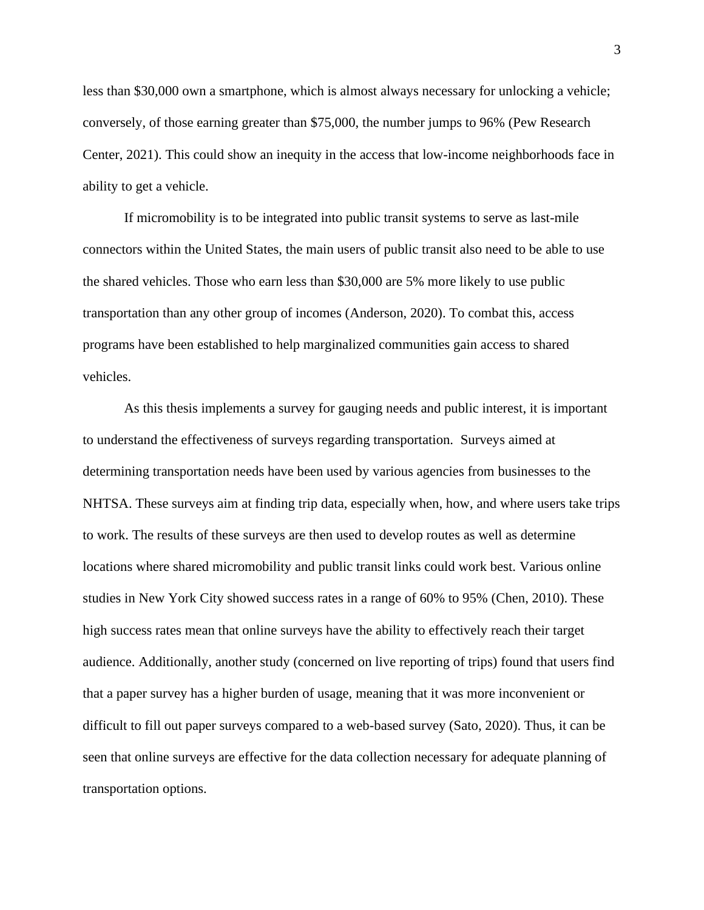less than \$30,000 own a smartphone, which is almost always necessary for unlocking a vehicle; conversely, of those earning greater than \$75,000, the number jumps to 96% (Pew Research Center, 2021). This could show an inequity in the access that low-income neighborhoods face in ability to get a vehicle.

If micromobility is to be integrated into public transit systems to serve as last-mile connectors within the United States, the main users of public transit also need to be able to use the shared vehicles. Those who earn less than \$30,000 are 5% more likely to use public transportation than any other group of incomes (Anderson, 2020). To combat this, access programs have been established to help marginalized communities gain access to shared vehicles.

As this thesis implements a survey for gauging needs and public interest, it is important to understand the effectiveness of surveys regarding transportation. Surveys aimed at determining transportation needs have been used by various agencies from businesses to the NHTSA. These surveys aim at finding trip data, especially when, how, and where users take trips to work. The results of these surveys are then used to develop routes as well as determine locations where shared micromobility and public transit links could work best. Various online studies in New York City showed success rates in a range of 60% to 95% (Chen, 2010). These high success rates mean that online surveys have the ability to effectively reach their target audience. Additionally, another study (concerned on live reporting of trips) found that users find that a paper survey has a higher burden of usage, meaning that it was more inconvenient or difficult to fill out paper surveys compared to a web-based survey (Sato, 2020). Thus, it can be seen that online surveys are effective for the data collection necessary for adequate planning of transportation options.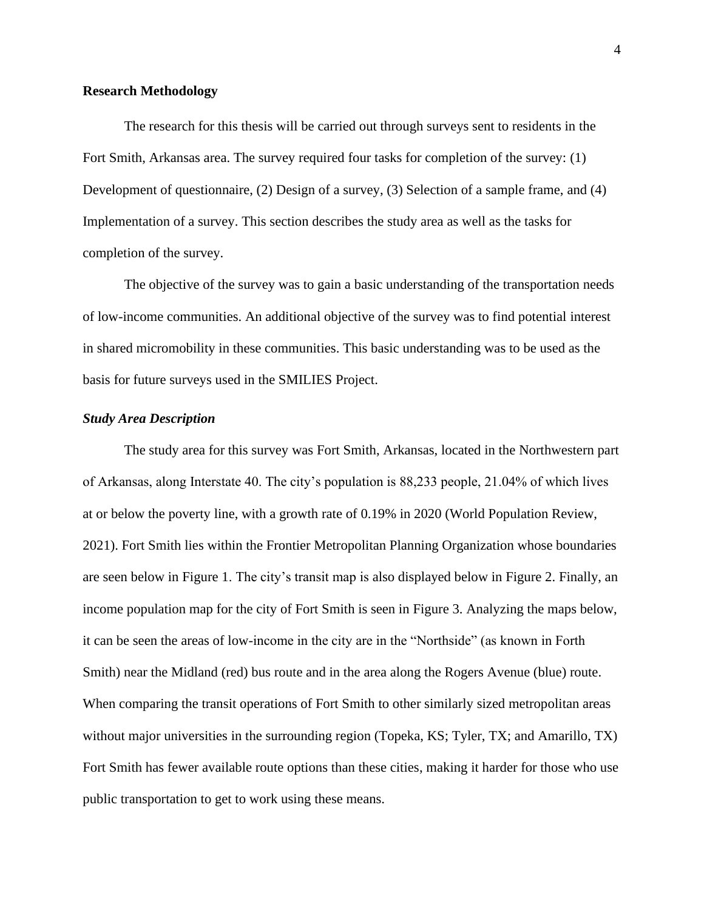#### <span id="page-8-0"></span>**Research Methodology**

The research for this thesis will be carried out through surveys sent to residents in the Fort Smith, Arkansas area. The survey required four tasks for completion of the survey: (1) Development of questionnaire, (2) Design of a survey, (3) Selection of a sample frame, and (4) Implementation of a survey. This section describes the study area as well as the tasks for completion of the survey.

The objective of the survey was to gain a basic understanding of the transportation needs of low-income communities. An additional objective of the survey was to find potential interest in shared micromobility in these communities. This basic understanding was to be used as the basis for future surveys used in the SMILIES Project.

## <span id="page-8-1"></span>*Study Area Description*

The study area for this survey was Fort Smith, Arkansas, located in the Northwestern part of Arkansas, along Interstate 40. The city's population is 88,233 people, 21.04% of which lives at or below the poverty line, with a growth rate of 0.19% in 2020 (World Population Review, 2021). Fort Smith lies within the Frontier Metropolitan Planning Organization whose boundaries are seen below in [Figure 1.](#page-10-0) The city's transit map is also displayed below in [Figure 2.](#page-11-0) Finally, an income population map for the city of Fort Smith is seen in [Figure 3.](#page-12-0) Analyzing the maps below, it can be seen the areas of low-income in the city are in the "Northside" (as known in Forth Smith) near the Midland (red) bus route and in the area along the Rogers Avenue (blue) route. When comparing the transit operations of Fort Smith to other similarly sized metropolitan areas without major universities in the surrounding region (Topeka, KS; Tyler, TX; and Amarillo, TX) Fort Smith has fewer available route options than these cities, making it harder for those who use public transportation to get to work using these means.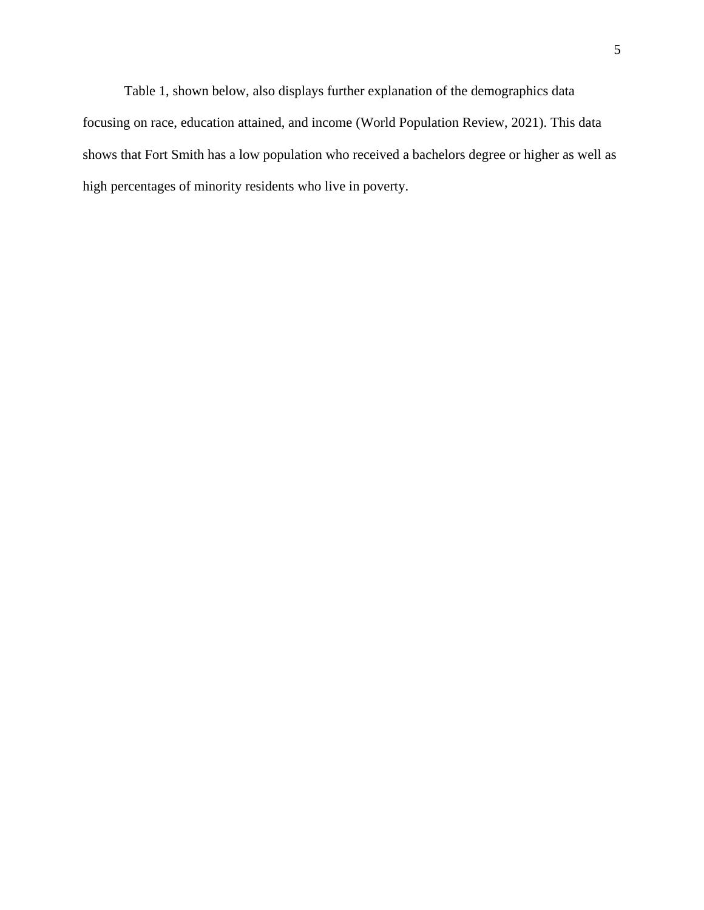Table 1, shown below, also displays further explanation of the demographics data focusing on race, education attained, and income (World Population Review, 2021). This data shows that Fort Smith has a low population who received a bachelors degree or higher as well as high percentages of minority residents who live in poverty.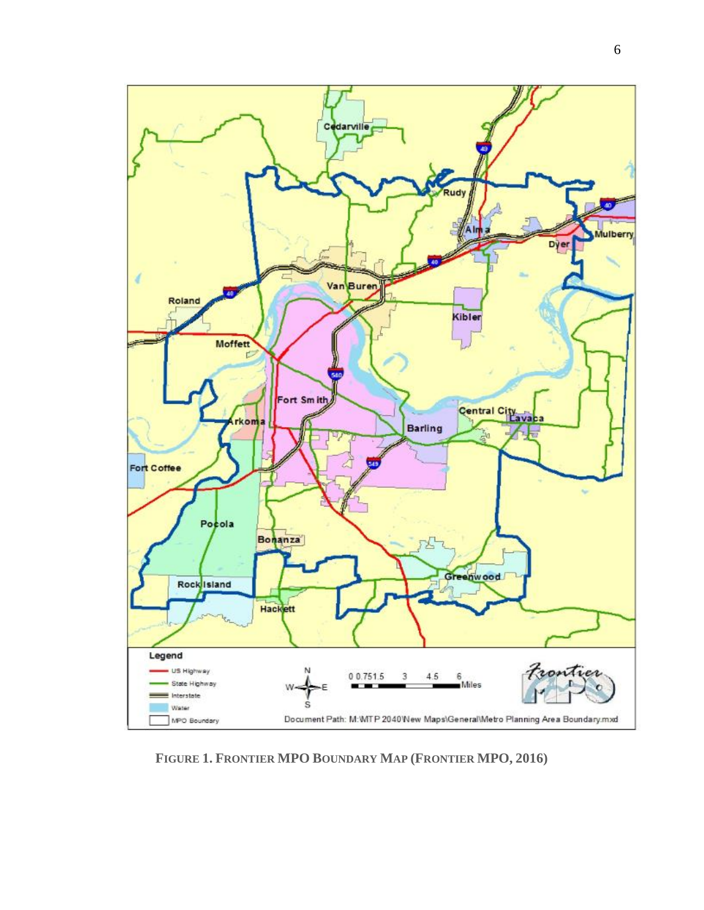

<span id="page-10-0"></span>**FIGURE 1. FRONTIER MPO BOUNDARY MAP (FRONTIER MPO, 2016)**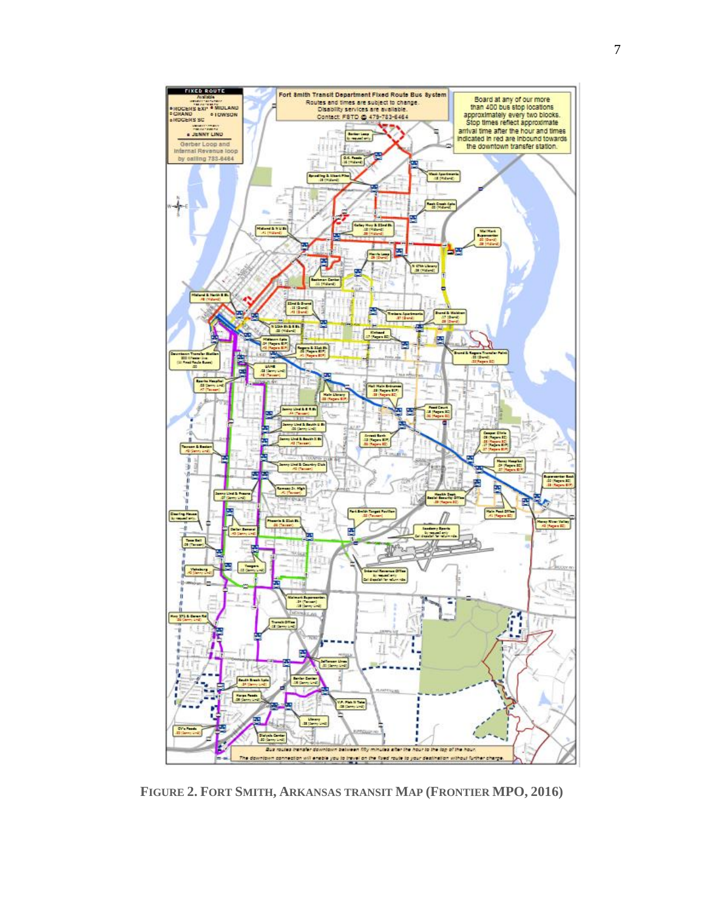

<span id="page-11-0"></span>**FIGURE 2. FORT SMITH, ARKANSAS TRANSIT MAP (FRONTIER MPO, 2016)**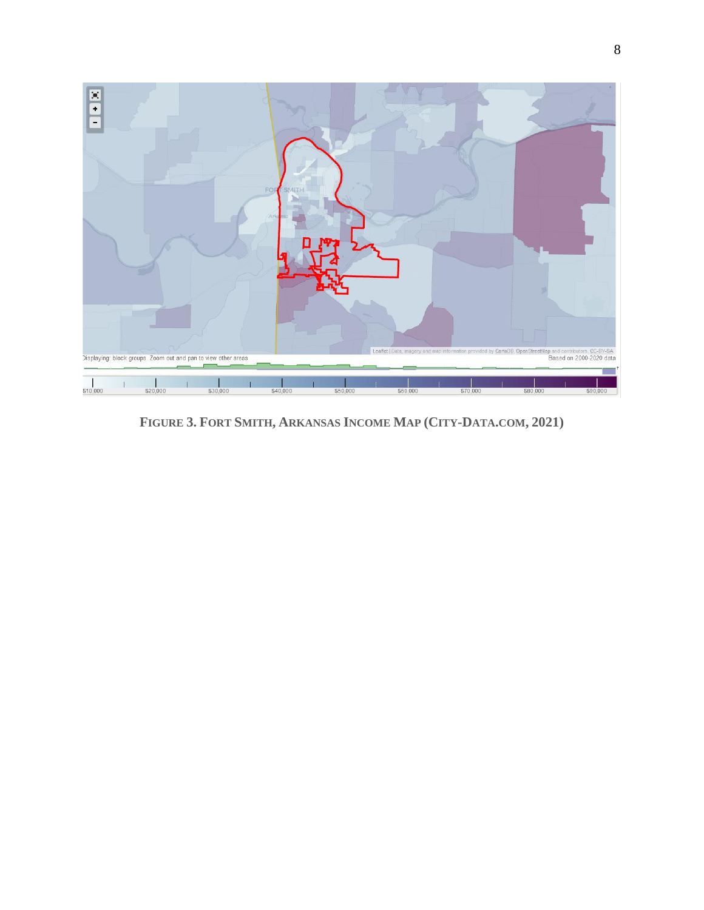

<span id="page-12-0"></span>FIGURE 3. FORT SMITH, ARKANSAS INCOME MAP (CITY-DATA.COM, 2021)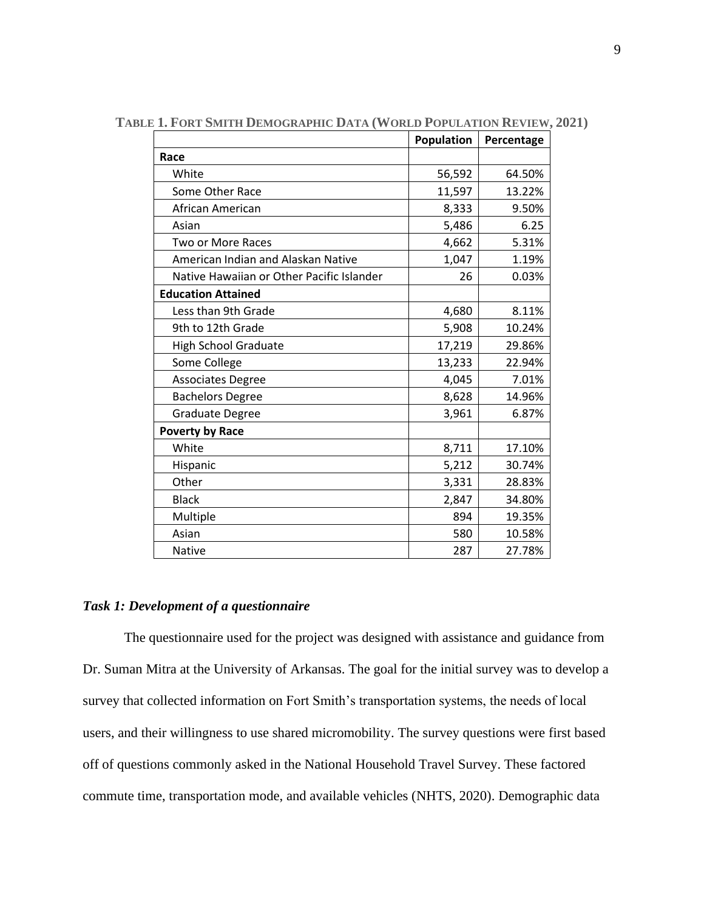|                                           | Population | Percentage |
|-------------------------------------------|------------|------------|
| Race                                      |            |            |
| White                                     | 56,592     | 64.50%     |
| Some Other Race                           | 11,597     | 13.22%     |
| African American                          | 8,333      | 9.50%      |
| Asian                                     | 5,486      | 6.25       |
| <b>Two or More Races</b>                  | 4,662      | 5.31%      |
| American Indian and Alaskan Native        | 1,047      | 1.19%      |
| Native Hawaiian or Other Pacific Islander | 26         | 0.03%      |
| <b>Education Attained</b>                 |            |            |
| Less than 9th Grade                       | 4,680      | 8.11%      |
| 9th to 12th Grade                         | 5,908      | 10.24%     |
| <b>High School Graduate</b>               | 17,219     | 29.86%     |
| Some College                              | 13,233     | 22.94%     |
| <b>Associates Degree</b>                  | 4,045      | 7.01%      |
| <b>Bachelors Degree</b>                   | 8,628      | 14.96%     |
| Graduate Degree                           | 3,961      | 6.87%      |
| <b>Poverty by Race</b>                    |            |            |
| White                                     | 8,711      | 17.10%     |
| Hispanic                                  | 5,212      | 30.74%     |
| Other                                     | 3,331      | 28.83%     |
| <b>Black</b>                              | 2,847      | 34.80%     |
| Multiple                                  | 894        | 19.35%     |
| Asian                                     | 580        | 10.58%     |
| <b>Native</b>                             | 287        | 27.78%     |

<span id="page-13-1"></span>**TABLE 1. FORT SMITH DEMOGRAPHIC DATA (WORLD POPULATION REVIEW, 2021)**

## <span id="page-13-0"></span>*Task 1: Development of a questionnaire*

The questionnaire used for the project was designed with assistance and guidance from Dr. Suman Mitra at the University of Arkansas. The goal for the initial survey was to develop a survey that collected information on Fort Smith's transportation systems, the needs of local users, and their willingness to use shared micromobility. The survey questions were first based off of questions commonly asked in the National Household Travel Survey. These factored commute time, transportation mode, and available vehicles (NHTS, 2020). Demographic data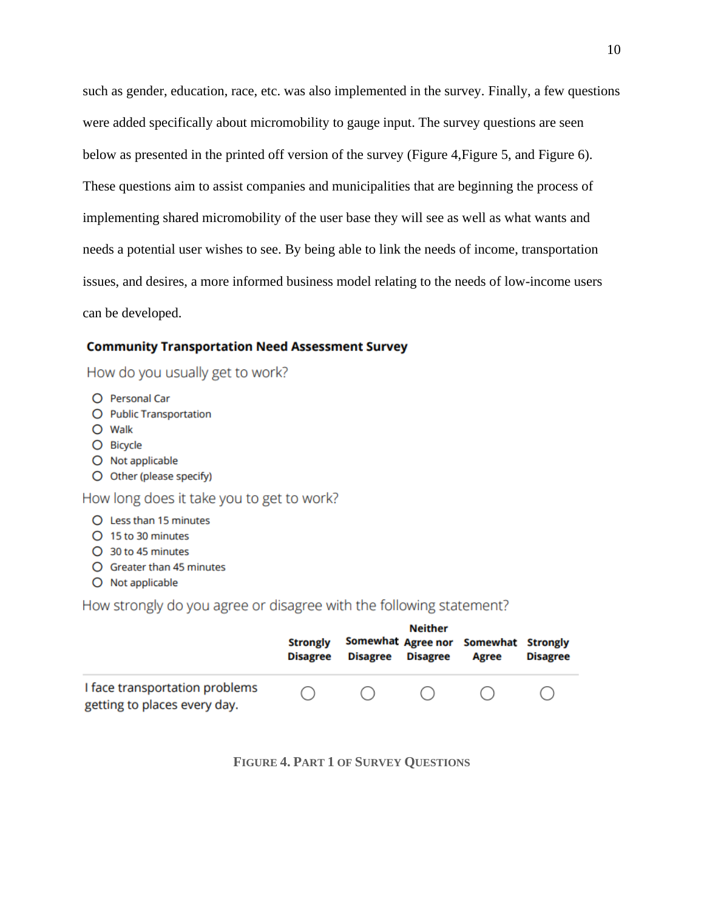such as gender, education, race, etc. was also implemented in the survey. Finally, a few questions were added specifically about micromobility to gauge input. The survey questions are seen below as presented in the printed off version of the survey (Figure 4, Figure 5, and Figure 6). These questions aim to assist companies and municipalities that are beginning the process of implementing shared micromobility of the user base they will see as well as what wants and needs a potential user wishes to see. By being able to link the needs of income, transportation issues, and desires, a more informed business model relating to the needs of low-income users can be developed.

### **Community Transportation Need Assessment Survey**

How do you usually get to work?

- O Personal Car
- O Public Transportation
- O Walk
- O Bicycle
- O Not applicable
- O Other (please specify)

How long does it take you to get to work?

#### O Less than 15 minutes

- O 15 to 30 minutes
- O 30 to 45 minutes
- O Greater than 45 minutes
- O Not applicable

How strongly do you agree or disagree with the following statement?

<span id="page-14-0"></span>

|                                                                | <b>Strongly</b><br><b>Disagree</b> | <b>Disagree</b> | <b>Neither</b><br><b>Disagree</b> | Somewhat Agree nor Somewhat Strongly<br>Agree | <b>Disagree</b> |
|----------------------------------------------------------------|------------------------------------|-----------------|-----------------------------------|-----------------------------------------------|-----------------|
| I face transportation problems<br>getting to places every day. |                                    | ( )             | ( )                               |                                               |                 |

**FIGURE 4. PART 1 OF SURVEY QUESTIONS**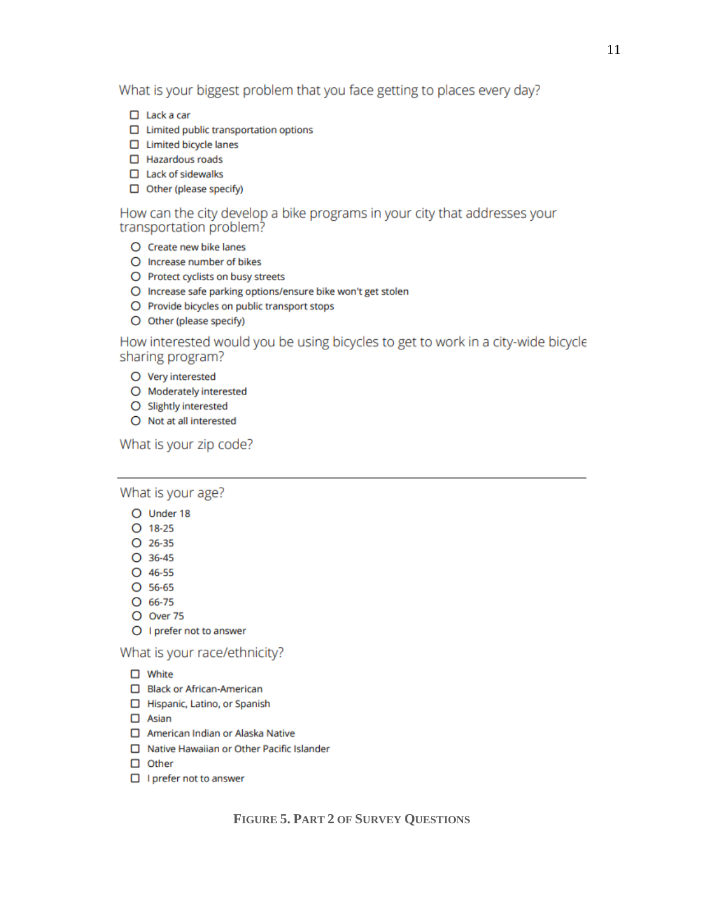What is your biggest problem that you face getting to places every day?

- $\Box$  Lack a car
- $\Box$  Limited public transportation options
- $\Box$  Limited bicycle lanes
- $\Box$  Hazardous roads
- $\Box$  Lack of sidewalks
- $\Box$  Other (please specify)

## How can the city develop a bike programs in your city that addresses your transportation problem?

- O Create new bike lanes
- O Increase number of bikes
- O Protect cyclists on busy streets
- O Increase safe parking options/ensure bike won't get stolen
- O Provide bicycles on public transport stops
- O Other (please specify)

How interested would you be using bicycles to get to work in a city-wide bicycle sharing program?

- O Very interested
- O Moderately interested
- O Slightly interested
- $O$  Not at all interested

## What is your zip code?

What is your age?

- O Under 18
- $O$  18-25
- $O$  26-35
- $O$  36-45
- $O$  46-55
- $O$  56-65
- $O$  66-75
- O Over 75
- O I prefer not to answer

What is your race/ethnicity?

- $\Box$  White
- □ Black or African-American
- Hispanic, Latino, or Spanish
- $\Box$  Asian
- American Indian or Alaska Native
- □ Native Hawaiian or Other Pacific Islander
- $\Box$  Other
- <span id="page-15-0"></span> $\Box$  I prefer not to answer

## **FIGURE 5. PART 2 OF SURVEY QUESTIONS**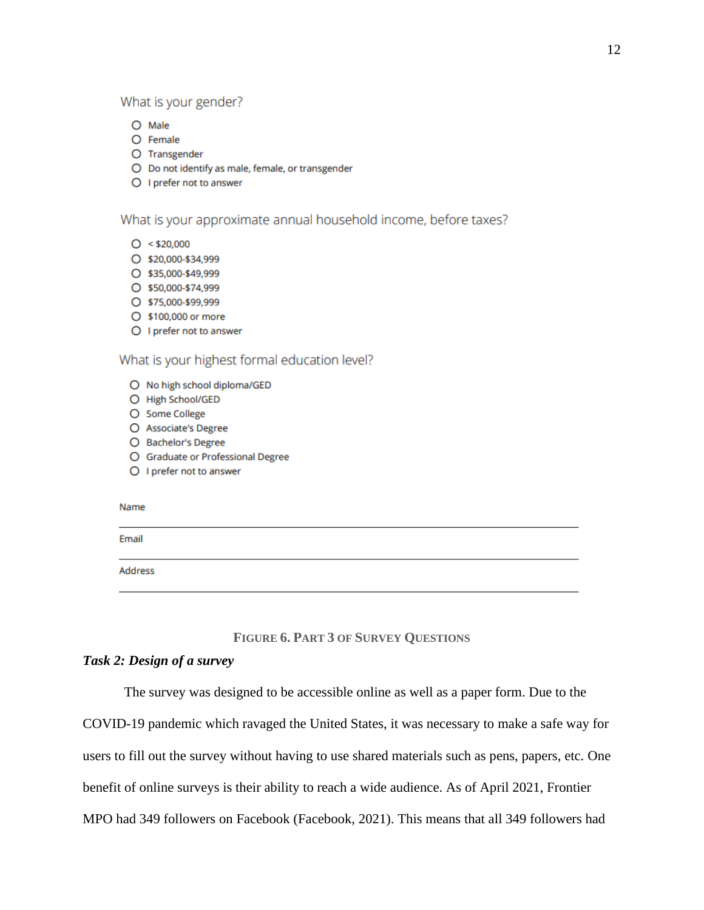### What is your gender?

- $O$  Male
- O Female
- O Transgender
- O Do not identify as male, female, or transgender
- O I prefer not to answer

#### What is your approximate annual household income, before taxes?

- $O < $20,000$
- O \$20,000-\$34,999
- \$35,000-\$49,999
- \$50,000-\$74,999
- O \$75,000-\$99,999
- \$100,000 or more
- O I prefer not to answer

## What is your highest formal education level?

- O No high school diploma/GED
- O High School/GED
- O Some College
- O Associate's Degree
- O Bachelor's Degree
- O Graduate or Professional Degree
- O I prefer not to answer

#### Name

Email

Address

## **FIGURE 6. PART 3 OF SURVEY QUESTIONS**

#### <span id="page-16-1"></span><span id="page-16-0"></span>Task 2: Design of a survey

The survey was designed to be accessible online as well as a paper form. Due to the

COVID-19 pandemic which ravaged the United States, it was necessary to make a safe way for

users to fill out the survey without having to use shared materials such as pens, papers, etc. One

benefit of online surveys is their ability to reach a wide audience. As of April 2021, Frontier

MPO had 349 followers on Facebook (Facebook, 2021). This means that all 349 followers had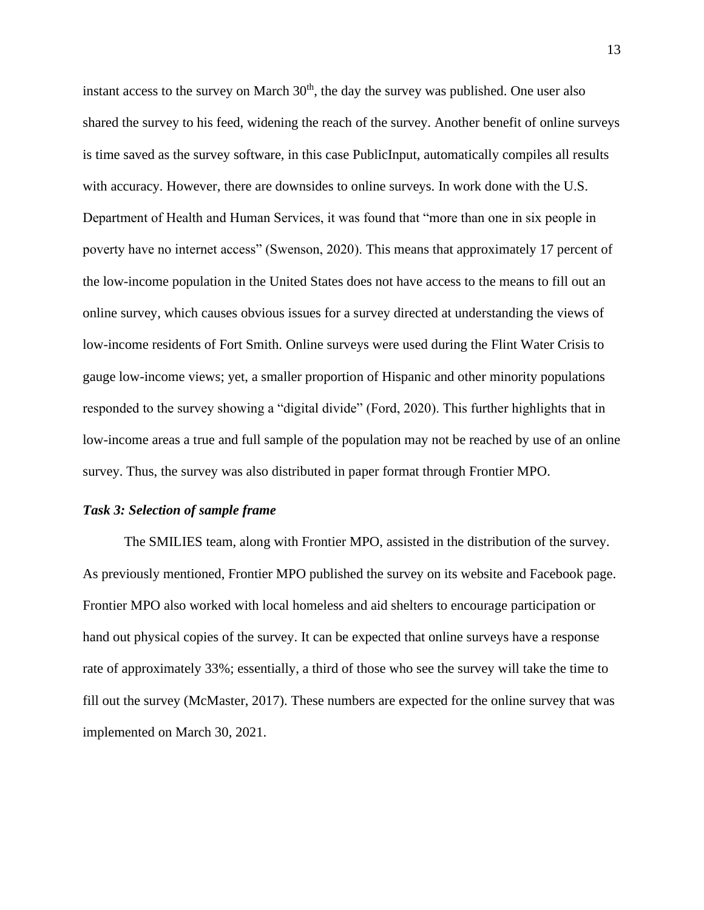instant access to the survey on March  $30<sup>th</sup>$ , the day the survey was published. One user also shared the survey to his feed, widening the reach of the survey. Another benefit of online surveys is time saved as the survey software, in this case PublicInput, automatically compiles all results with accuracy. However, there are downsides to online surveys. In work done with the U.S. Department of Health and Human Services, it was found that "more than one in six people in poverty have no internet access" (Swenson, 2020). This means that approximately 17 percent of the low-income population in the United States does not have access to the means to fill out an online survey, which causes obvious issues for a survey directed at understanding the views of low-income residents of Fort Smith. Online surveys were used during the Flint Water Crisis to gauge low-income views; yet, a smaller proportion of Hispanic and other minority populations responded to the survey showing a "digital divide" (Ford, 2020). This further highlights that in low-income areas a true and full sample of the population may not be reached by use of an online survey. Thus, the survey was also distributed in paper format through Frontier MPO.

#### <span id="page-17-0"></span>*Task 3: Selection of sample frame*

The SMILIES team, along with Frontier MPO, assisted in the distribution of the survey. As previously mentioned, Frontier MPO published the survey on its website and Facebook page. Frontier MPO also worked with local homeless and aid shelters to encourage participation or hand out physical copies of the survey. It can be expected that online surveys have a response rate of approximately 33%; essentially, a third of those who see the survey will take the time to fill out the survey (McMaster, 2017). These numbers are expected for the online survey that was implemented on March 30, 2021.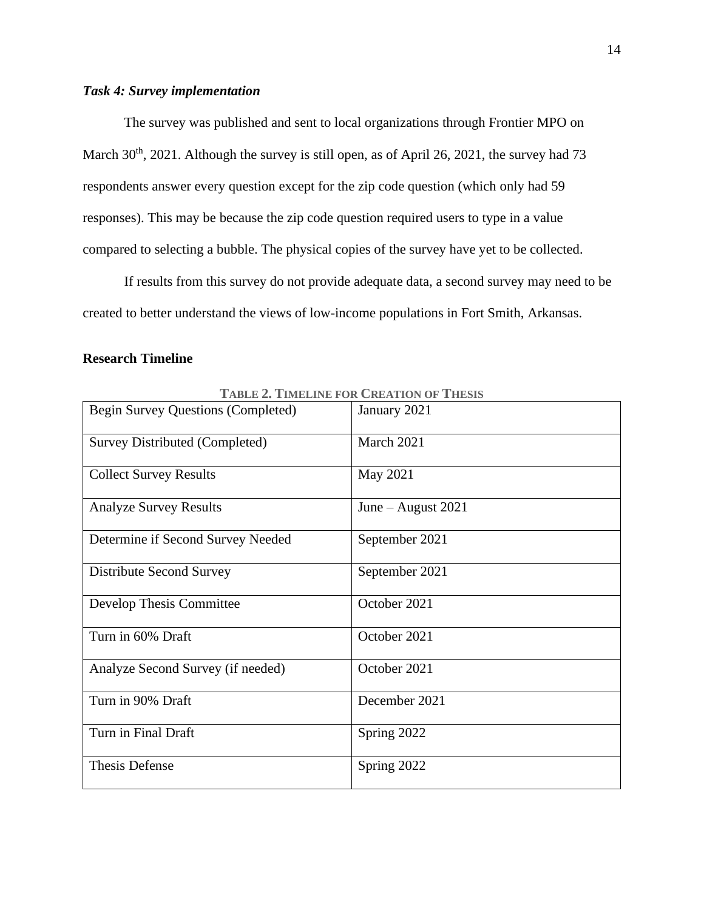## <span id="page-18-0"></span>*Task 4: Survey implementation*

The survey was published and sent to local organizations through Frontier MPO on March 30<sup>th</sup>, 2021. Although the survey is still open, as of April 26, 2021, the survey had 73 respondents answer every question except for the zip code question (which only had 59 responses). This may be because the zip code question required users to type in a value compared to selecting a bubble. The physical copies of the survey have yet to be collected.

If results from this survey do not provide adequate data, a second survey may need to be created to better understand the views of low-income populations in Fort Smith, Arkansas.

## <span id="page-18-1"></span>**Research Timeline**

<span id="page-18-2"></span>

|                                           | LADLE 4. LIMELINE FOR UNEATION OF THESIS |
|-------------------------------------------|------------------------------------------|
| <b>Begin Survey Questions (Completed)</b> | January 2021                             |
| Survey Distributed (Completed)            | March 2021                               |
| <b>Collect Survey Results</b>             | May 2021                                 |
| <b>Analyze Survey Results</b>             | June $-$ August 2021                     |
| Determine if Second Survey Needed         | September 2021                           |
| Distribute Second Survey                  | September 2021                           |
| Develop Thesis Committee                  | October 2021                             |
| Turn in 60% Draft                         | October 2021                             |
| Analyze Second Survey (if needed)         | October 2021                             |
| Turn in 90% Draft                         | December 2021                            |
| Turn in Final Draft                       | Spring 2022                              |
| <b>Thesis Defense</b>                     | Spring 2022                              |

**TABLE 2. TIMELINE FOR CREATION OF THESIS**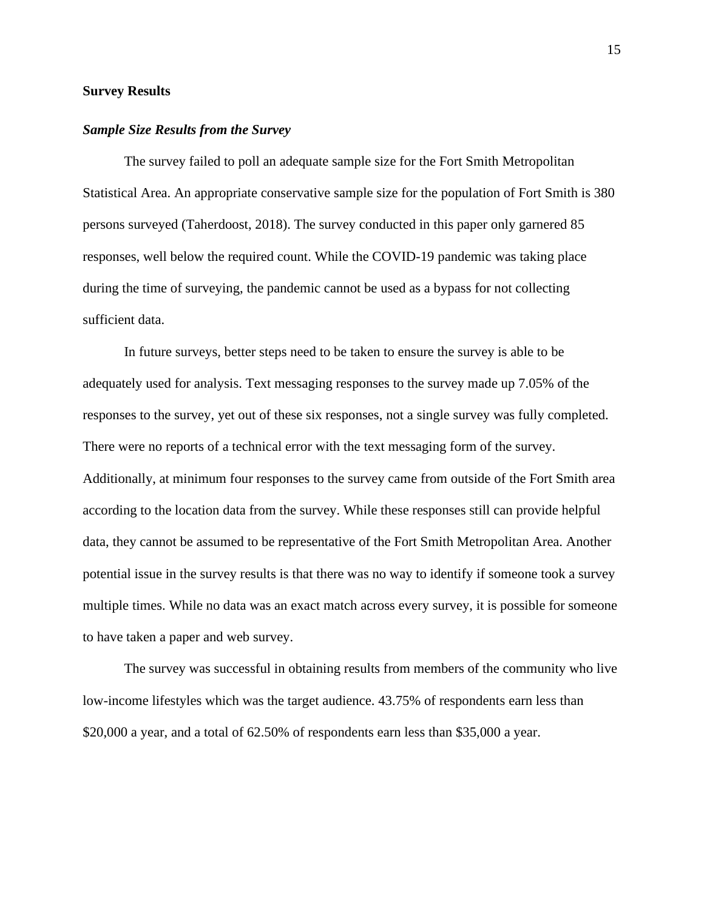## <span id="page-19-0"></span>**Survey Results**

#### <span id="page-19-1"></span>*Sample Size Results from the Survey*

The survey failed to poll an adequate sample size for the Fort Smith Metropolitan Statistical Area. An appropriate conservative sample size for the population of Fort Smith is 380 persons surveyed (Taherdoost, 2018). The survey conducted in this paper only garnered 85 responses, well below the required count. While the COVID-19 pandemic was taking place during the time of surveying, the pandemic cannot be used as a bypass for not collecting sufficient data.

In future surveys, better steps need to be taken to ensure the survey is able to be adequately used for analysis. Text messaging responses to the survey made up 7.05% of the responses to the survey, yet out of these six responses, not a single survey was fully completed. There were no reports of a technical error with the text messaging form of the survey. Additionally, at minimum four responses to the survey came from outside of the Fort Smith area according to the location data from the survey. While these responses still can provide helpful data, they cannot be assumed to be representative of the Fort Smith Metropolitan Area. Another potential issue in the survey results is that there was no way to identify if someone took a survey multiple times. While no data was an exact match across every survey, it is possible for someone to have taken a paper and web survey.

The survey was successful in obtaining results from members of the community who live low-income lifestyles which was the target audience. 43.75% of respondents earn less than \$20,000 a year, and a total of 62.50% of respondents earn less than \$35,000 a year.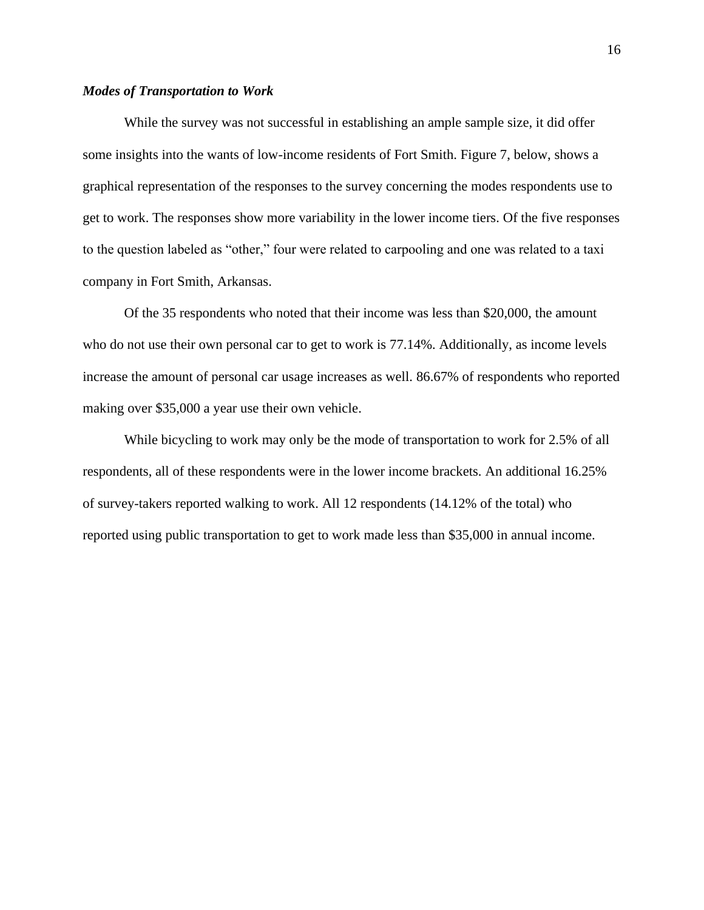## <span id="page-20-0"></span>*Modes of Transportation to Work*

While the survey was not successful in establishing an ample sample size, it did offer some insights into the wants of low-income residents of Fort Smith. [Figure 7,](#page-21-1) below, shows a graphical representation of the responses to the survey concerning the modes respondents use to get to work. The responses show more variability in the lower income tiers. Of the five responses to the question labeled as "other," four were related to carpooling and one was related to a taxi company in Fort Smith, Arkansas.

Of the 35 respondents who noted that their income was less than \$20,000, the amount who do not use their own personal car to get to work is 77.14%. Additionally, as income levels increase the amount of personal car usage increases as well. 86.67% of respondents who reported making over \$35,000 a year use their own vehicle.

While bicycling to work may only be the mode of transportation to work for 2.5% of all respondents, all of these respondents were in the lower income brackets. An additional 16.25% of survey-takers reported walking to work. All 12 respondents (14.12% of the total) who reported using public transportation to get to work made less than \$35,000 in annual income.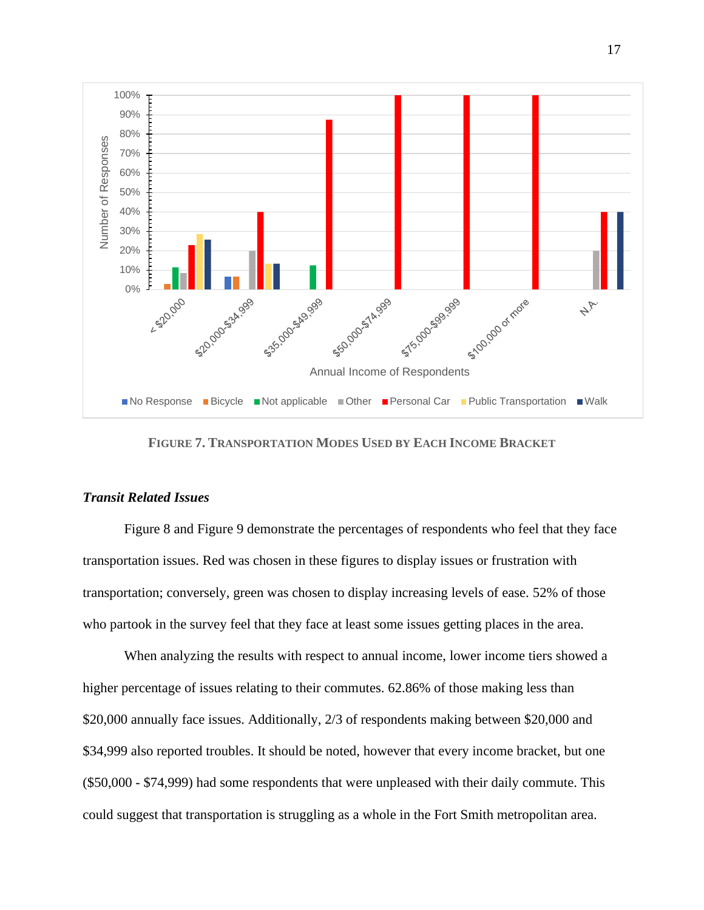

**FIGURE 7. TRANSPORTATION MODES USED BY EACH INCOME BRACKET**

#### <span id="page-21-1"></span><span id="page-21-0"></span>*Transit Related Issues*

[Figure 8](#page-22-0) and [Figure 9](#page-22-1) demonstrate the percentages of respondents who feel that they face transportation issues. Red was chosen in these figures to display issues or frustration with transportation; conversely, green was chosen to display increasing levels of ease. 52% of those who partook in the survey feel that they face at least some issues getting places in the area.

When analyzing the results with respect to annual income, lower income tiers showed a higher percentage of issues relating to their commutes. 62.86% of those making less than \$20,000 annually face issues. Additionally, 2/3 of respondents making between \$20,000 and \$34,999 also reported troubles. It should be noted, however that every income bracket, but one (\$50,000 - \$74,999) had some respondents that were unpleased with their daily commute. This could suggest that transportation is struggling as a whole in the Fort Smith metropolitan area.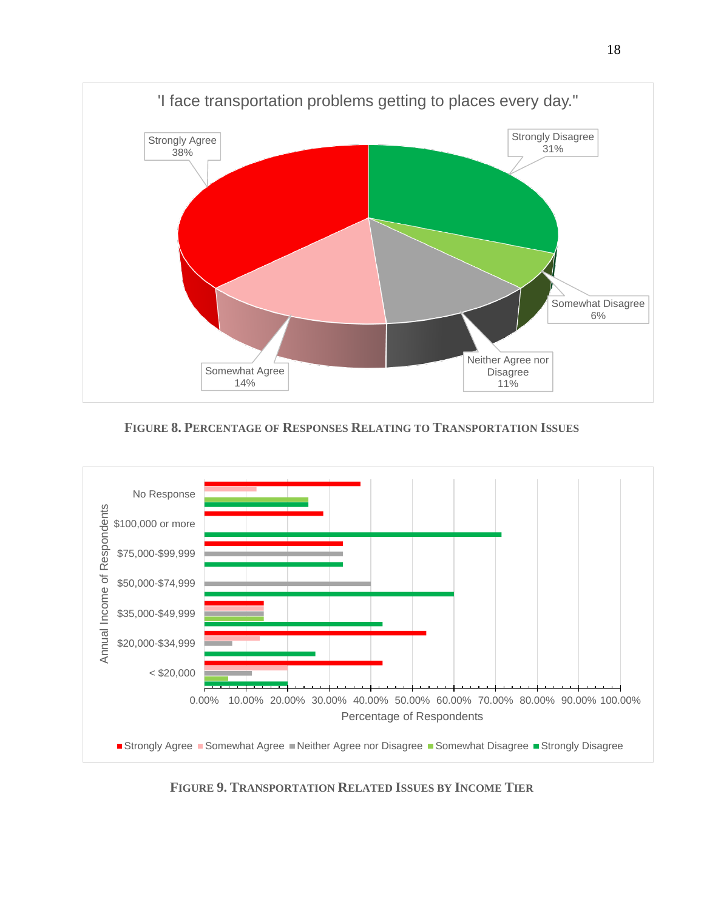

**FIGURE 8. PERCENTAGE OF RESPONSES RELATING TO TRANSPORTATION ISSUES**

<span id="page-22-0"></span>

<span id="page-22-1"></span>**FIGURE 9. TRANSPORTATION RELATED ISSUES BY INCOME TIER**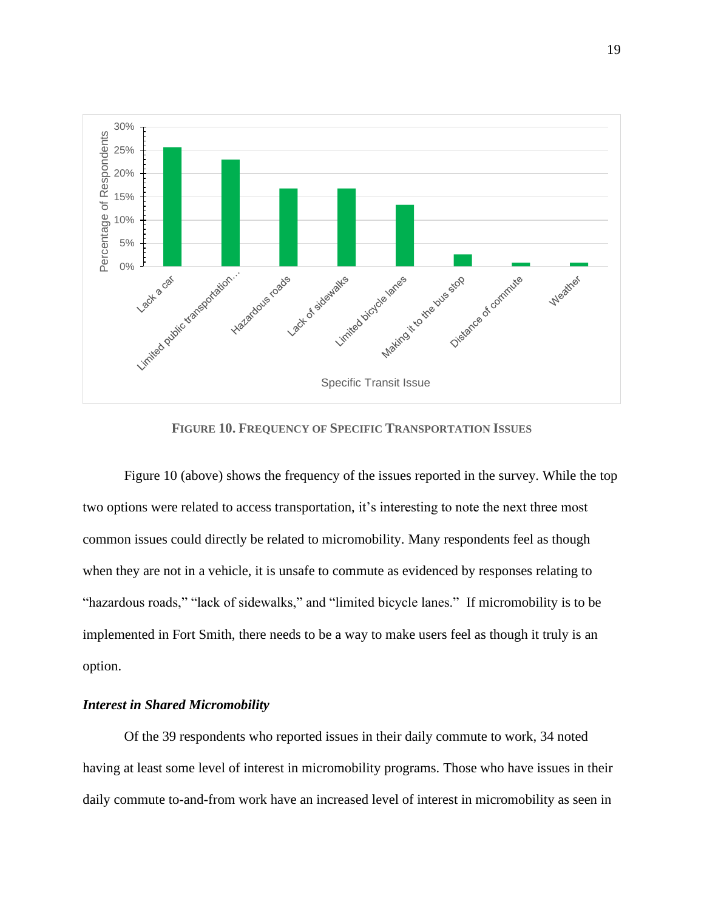

**FIGURE 10. FREQUENCY OF SPECIFIC TRANSPORTATION ISSUES**

<span id="page-23-1"></span>[Figure 10](#page-23-1) (above) shows the frequency of the issues reported in the survey. While the top two options were related to access transportation, it's interesting to note the next three most common issues could directly be related to micromobility. Many respondents feel as though when they are not in a vehicle, it is unsafe to commute as evidenced by responses relating to "hazardous roads," "lack of sidewalks," and "limited bicycle lanes." If micromobility is to be implemented in Fort Smith, there needs to be a way to make users feel as though it truly is an option.

### <span id="page-23-0"></span>*Interest in Shared Micromobility*

Of the 39 respondents who reported issues in their daily commute to work, 34 noted having at least some level of interest in micromobility programs. Those who have issues in their daily commute to-and-from work have an increased level of interest in micromobility as seen in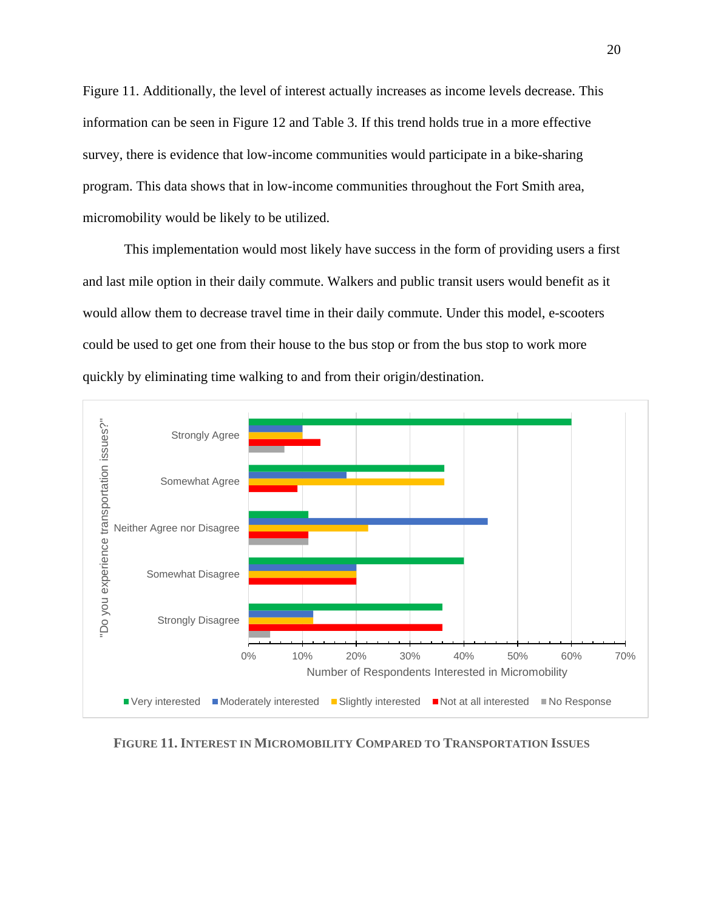[Figure 11.](#page-24-0) Additionally, the level of interest actually increases as income levels decrease. This information can be seen in [Figure 12](#page-25-0) and [Table 3.](#page-26-0) If this trend holds true in a more effective survey, there is evidence that low-income communities would participate in a bike-sharing program. This data shows that in low-income communities throughout the Fort Smith area, micromobility would be likely to be utilized.

This implementation would most likely have success in the form of providing users a first and last mile option in their daily commute. Walkers and public transit users would benefit as it would allow them to decrease travel time in their daily commute. Under this model, e-scooters could be used to get one from their house to the bus stop or from the bus stop to work more quickly by eliminating time walking to and from their origin/destination.



<span id="page-24-0"></span>**FIGURE 11. INTEREST IN MICROMOBILITY COMPARED TO TRANSPORTATION ISSUES**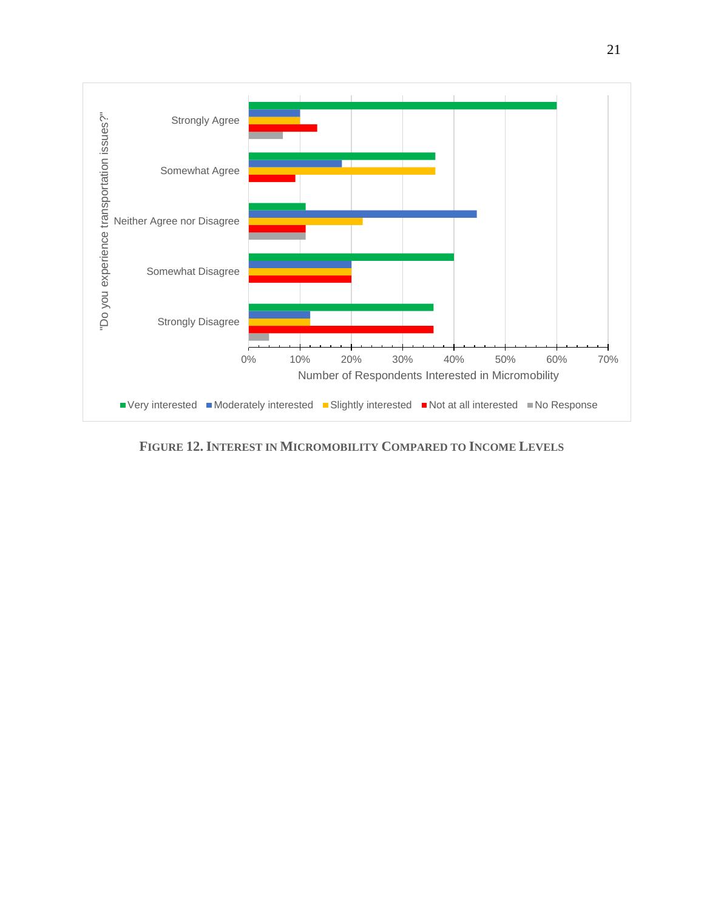

<span id="page-25-0"></span>**FIGURE 12. INTEREST IN MICROMOBILITY COMPARED TO INCOME LEVELS**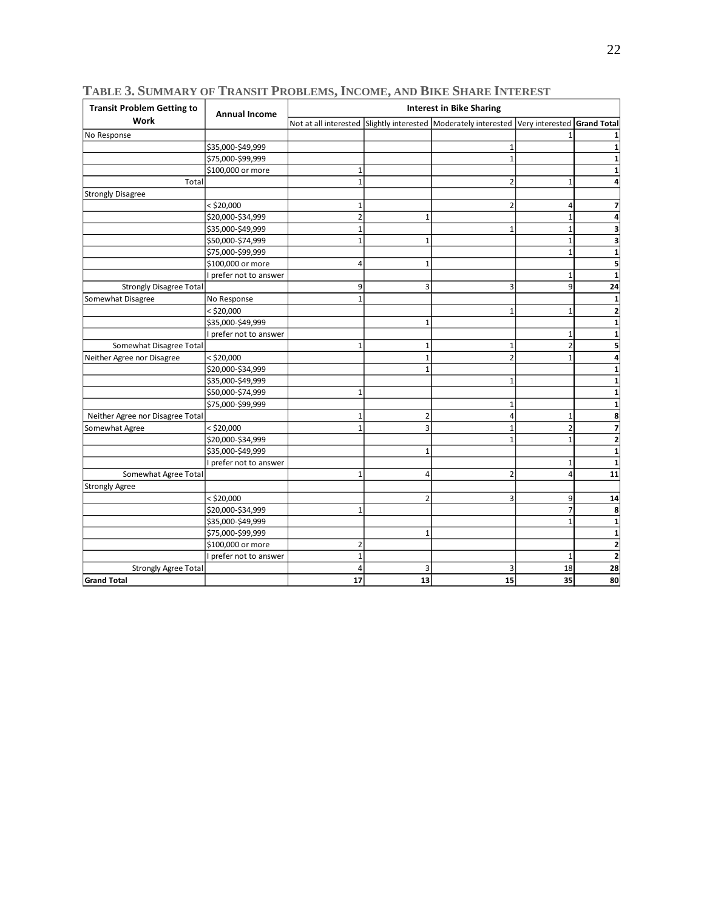| <b>Transit Problem Getting to</b> | <b>Annual Income</b>   | <u>I ABLE 3. SUMMARY OF I RANSIT PROBLEMS, INCOME, AND BIKE SHARE INTEREST</u><br><b>Interest in Bike Sharing</b> |                |                                                                                             |                |                |
|-----------------------------------|------------------------|-------------------------------------------------------------------------------------------------------------------|----------------|---------------------------------------------------------------------------------------------|----------------|----------------|
| <b>Work</b>                       |                        |                                                                                                                   |                | Not at all interested Slightly interested Moderately interested Very interested Grand Total |                |                |
| No Response                       |                        |                                                                                                                   |                |                                                                                             |                |                |
|                                   | \$35,000-\$49,999      |                                                                                                                   |                | $\mathbf{1}$                                                                                |                |                |
|                                   | \$75,000-\$99,999      |                                                                                                                   |                | $\mathbf{1}$                                                                                |                |                |
|                                   | \$100,000 or more      | $\mathbf 1$                                                                                                       |                |                                                                                             |                |                |
| Total                             |                        | $\mathbf{1}$                                                                                                      |                | $\overline{2}$                                                                              | $\mathbf{1}$   |                |
| <b>Strongly Disagree</b>          |                        |                                                                                                                   |                |                                                                                             |                |                |
|                                   | < \$20,000             | $\mathbf{1}$                                                                                                      |                | $\overline{2}$                                                                              | Δ              |                |
|                                   | \$20,000-\$34,999      | $\overline{2}$                                                                                                    | $\mathbf{1}$   |                                                                                             | $\mathbf{1}$   |                |
|                                   | \$35,000-\$49,999      | $\mathbf 1$                                                                                                       |                | $\mathbf{1}$                                                                                |                |                |
|                                   | \$50,000-\$74,999      | $\overline{1}$                                                                                                    | $\mathbf{1}$   |                                                                                             | $\mathbf{1}$   | 3              |
|                                   | \$75,000-\$99,999      |                                                                                                                   |                |                                                                                             | $\mathbf{1}$   |                |
|                                   | \$100,000 or more      | $\overline{4}$                                                                                                    | $\mathbf{1}$   |                                                                                             |                | 5              |
|                                   | I prefer not to answer |                                                                                                                   |                |                                                                                             | $\mathbf{1}$   |                |
| <b>Strongly Disagree Total</b>    |                        | 9                                                                                                                 | 3              | 3                                                                                           | 9              | 24             |
| Somewhat Disagree                 | No Response            | $\mathbf{1}$                                                                                                      |                |                                                                                             |                | 1              |
|                                   | $<$ \$20,000           |                                                                                                                   |                | $\mathbf{1}$                                                                                | $\mathbf{1}$   | 2              |
|                                   | \$35,000-\$49,999      |                                                                                                                   | $\mathbf{1}$   |                                                                                             |                |                |
|                                   | prefer not to answer   |                                                                                                                   |                |                                                                                             | $\mathbf{1}$   |                |
| Somewhat Disagree Total           |                        | $\mathbf 1$                                                                                                       | $\mathbf{1}$   | $\mathbf{1}$                                                                                | $\overline{2}$ | 5              |
| Neither Agree nor Disagree        | $<$ \$20,000           |                                                                                                                   | $\mathbf{1}$   | $\overline{2}$                                                                              | $\mathbf{1}$   |                |
|                                   | \$20,000-\$34,999      |                                                                                                                   | $\mathbf{1}$   |                                                                                             |                |                |
|                                   | \$35,000-\$49,999      |                                                                                                                   |                | $\overline{1}$                                                                              |                |                |
|                                   | \$50,000-\$74,999      | $\mathbf{1}$                                                                                                      |                |                                                                                             |                |                |
|                                   | \$75,000-\$99,999      |                                                                                                                   |                | 1                                                                                           |                |                |
| Neither Agree nor Disagree Total  |                        | $\mathbf{1}$                                                                                                      | $\overline{2}$ | 4                                                                                           | $\mathbf{1}$   | 8              |
| Somewhat Agree                    | $<$ \$20,000           | $\mathbf{1}$                                                                                                      | 3              | $\mathbf{1}$                                                                                | $\overline{2}$ | 7              |
|                                   | \$20,000-\$34,999      |                                                                                                                   |                | $\mathbf{1}$                                                                                | $\mathbf{1}$   | $\overline{2}$ |
|                                   | \$35,000-\$49,999      |                                                                                                                   | $\mathbf{1}$   |                                                                                             |                | 1              |
|                                   | prefer not to answer   |                                                                                                                   |                |                                                                                             | $\mathbf{1}$   | $\mathbf{1}$   |
| Somewhat Agree Total              |                        | $\mathbf{1}$                                                                                                      | 4              | $\overline{2}$                                                                              | $\overline{4}$ | 11             |
| <b>Strongly Agree</b>             |                        |                                                                                                                   |                |                                                                                             |                |                |
|                                   | $<$ \$20,000           |                                                                                                                   | $\overline{2}$ | 3                                                                                           | 9              | 14             |
|                                   | \$20,000-\$34,999      | $\mathbf{1}$                                                                                                      |                |                                                                                             | 7              | 8              |
|                                   | \$35,000-\$49,999      |                                                                                                                   |                |                                                                                             | $\mathbf{1}$   | 1              |
|                                   | \$75,000-\$99,999      |                                                                                                                   | $\mathbf{1}$   |                                                                                             |                |                |
|                                   | \$100,000 or more      | $\overline{2}$                                                                                                    |                |                                                                                             |                | $\overline{2}$ |
|                                   | I prefer not to answer | $\mathbf{1}$                                                                                                      |                |                                                                                             | $\mathbf{1}$   |                |
| <b>Strongly Agree Total</b>       |                        | $\overline{4}$                                                                                                    | 3              | 3                                                                                           | 18             | 28             |
| <b>Grand Total</b>                |                        | 17                                                                                                                | 13             | 15                                                                                          | 35             | 80             |

<span id="page-26-0"></span>**TABLE 3. SUMMARY OF TRANSIT PROBLEMS, INCOME, AND BIKE SHARE INTEREST**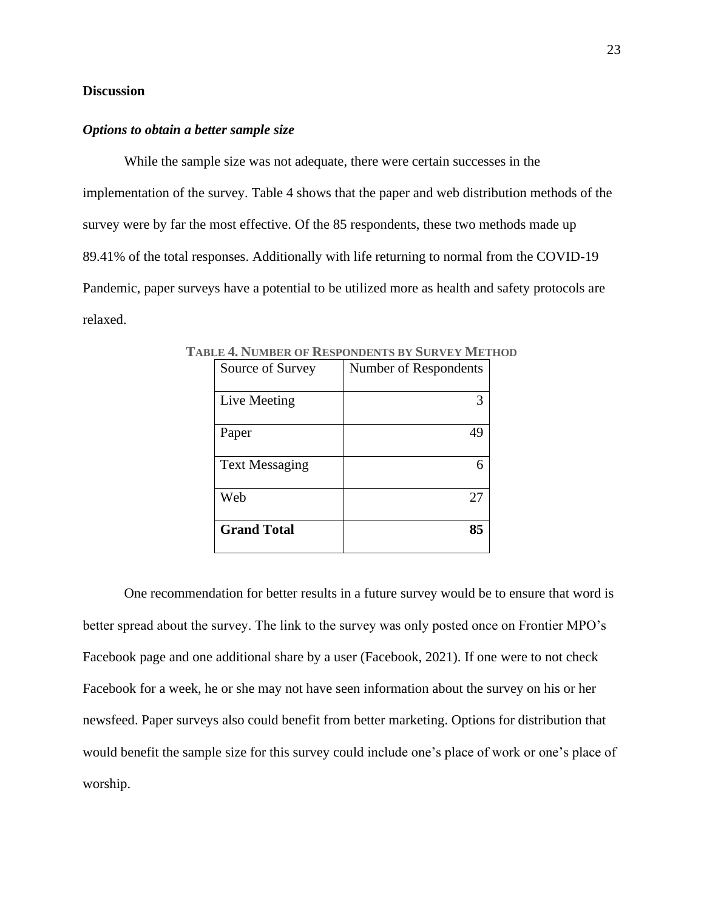## <span id="page-27-0"></span>**Discussion**

#### <span id="page-27-1"></span>*Options to obtain a better sample size*

While the sample size was not adequate, there were certain successes in the implementation of the survey. [Table 4](#page-27-2) shows that the paper and web distribution methods of the survey were by far the most effective. Of the 85 respondents, these two methods made up 89.41% of the total responses. Additionally with life returning to normal from the COVID-19 Pandemic, paper surveys have a potential to be utilized more as health and safety protocols are relaxed.

| Source of Survey      | Number of Respondents |  |  |
|-----------------------|-----------------------|--|--|
| Live Meeting          | 3                     |  |  |
| Paper                 | 49                    |  |  |
| <b>Text Messaging</b> | 6                     |  |  |
| Web                   | 27                    |  |  |
| <b>Grand Total</b>    | 85                    |  |  |

<span id="page-27-2"></span>**TABLE 4. NUMBER OF RESPONDENTS BY SURVEY METHOD**

One recommendation for better results in a future survey would be to ensure that word is better spread about the survey. The link to the survey was only posted once on Frontier MPO's Facebook page and one additional share by a user (Facebook, 2021). If one were to not check Facebook for a week, he or she may not have seen information about the survey on his or her newsfeed. Paper surveys also could benefit from better marketing. Options for distribution that would benefit the sample size for this survey could include one's place of work or one's place of worship.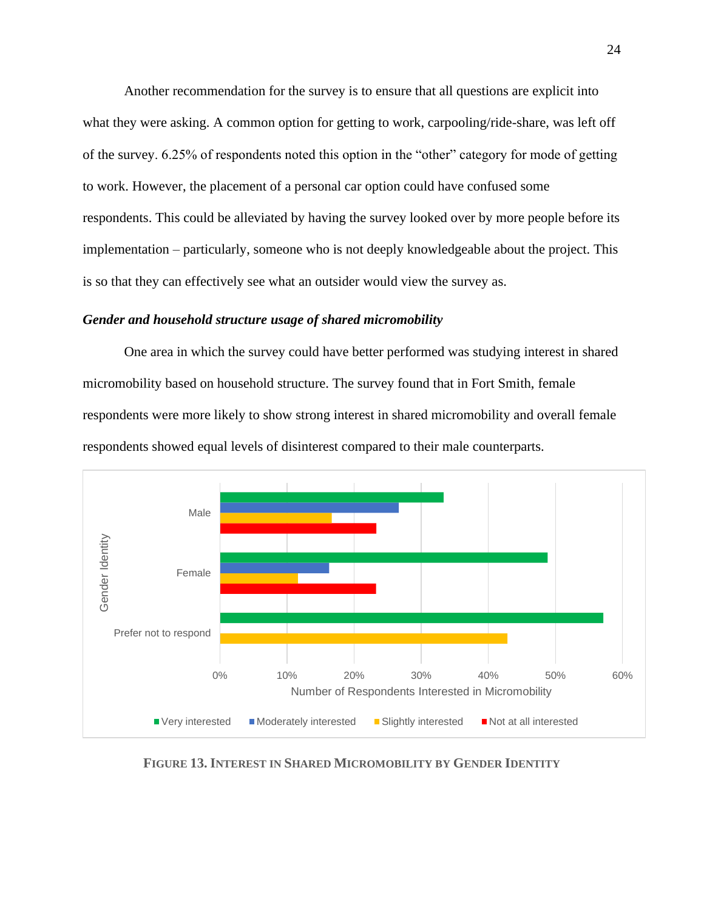Another recommendation for the survey is to ensure that all questions are explicit into what they were asking. A common option for getting to work, carpooling/ride-share, was left off of the survey. 6.25% of respondents noted this option in the "other" category for mode of getting to work. However, the placement of a personal car option could have confused some respondents. This could be alleviated by having the survey looked over by more people before its implementation – particularly, someone who is not deeply knowledgeable about the project. This is so that they can effectively see what an outsider would view the survey as.

#### <span id="page-28-0"></span>*Gender and household structure usage of shared micromobility*

One area in which the survey could have better performed was studying interest in shared micromobility based on household structure. The survey found that in Fort Smith, female respondents were more likely to show strong interest in shared micromobility and overall female respondents showed equal levels of disinterest compared to their male counterparts.



<span id="page-28-1"></span>**FIGURE 13. INTEREST IN SHARED MICROMOBILITY BY GENDER IDENTITY**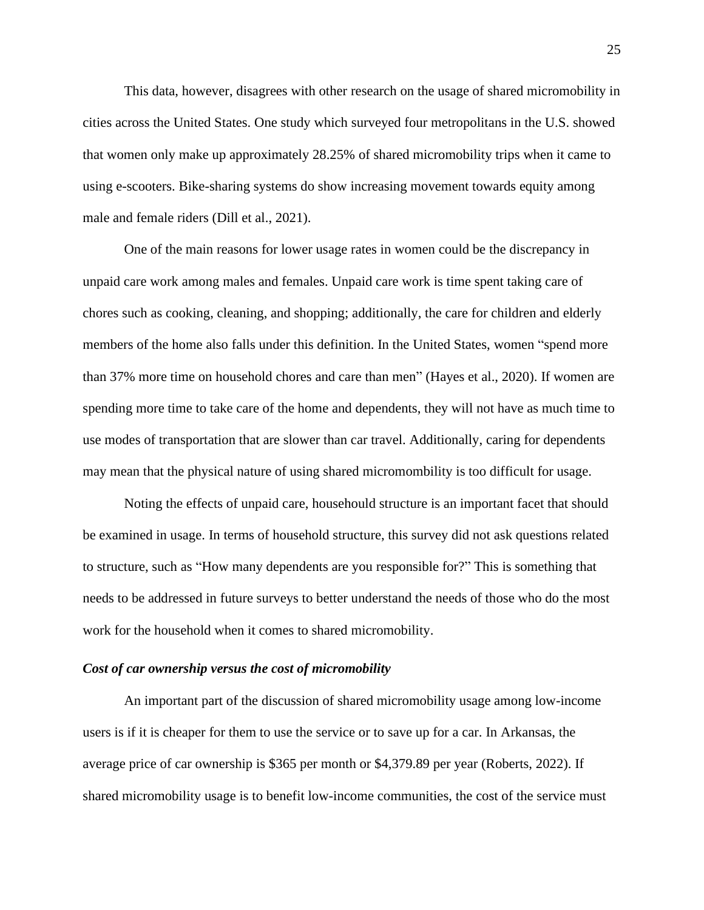This data, however, disagrees with other research on the usage of shared micromobility in cities across the United States. One study which surveyed four metropolitans in the U.S. showed that women only make up approximately 28.25% of shared micromobility trips when it came to using e-scooters. Bike-sharing systems do show increasing movement towards equity among male and female riders (Dill et al., 2021).

One of the main reasons for lower usage rates in women could be the discrepancy in unpaid care work among males and females. Unpaid care work is time spent taking care of chores such as cooking, cleaning, and shopping; additionally, the care for children and elderly members of the home also falls under this definition. In the United States, women "spend more than 37% more time on household chores and care than men" (Hayes et al., 2020). If women are spending more time to take care of the home and dependents, they will not have as much time to use modes of transportation that are slower than car travel. Additionally, caring for dependents may mean that the physical nature of using shared micromombility is too difficult for usage.

Noting the effects of unpaid care, househould structure is an important facet that should be examined in usage. In terms of household structure, this survey did not ask questions related to structure, such as "How many dependents are you responsible for?" This is something that needs to be addressed in future surveys to better understand the needs of those who do the most work for the household when it comes to shared micromobility.

#### <span id="page-29-0"></span>*Cost of car ownership versus the cost of micromobility*

An important part of the discussion of shared micromobility usage among low-income users is if it is cheaper for them to use the service or to save up for a car. In Arkansas, the average price of car ownership is \$365 per month or \$4,379.89 per year (Roberts, 2022). If shared micromobility usage is to benefit low-income communities, the cost of the service must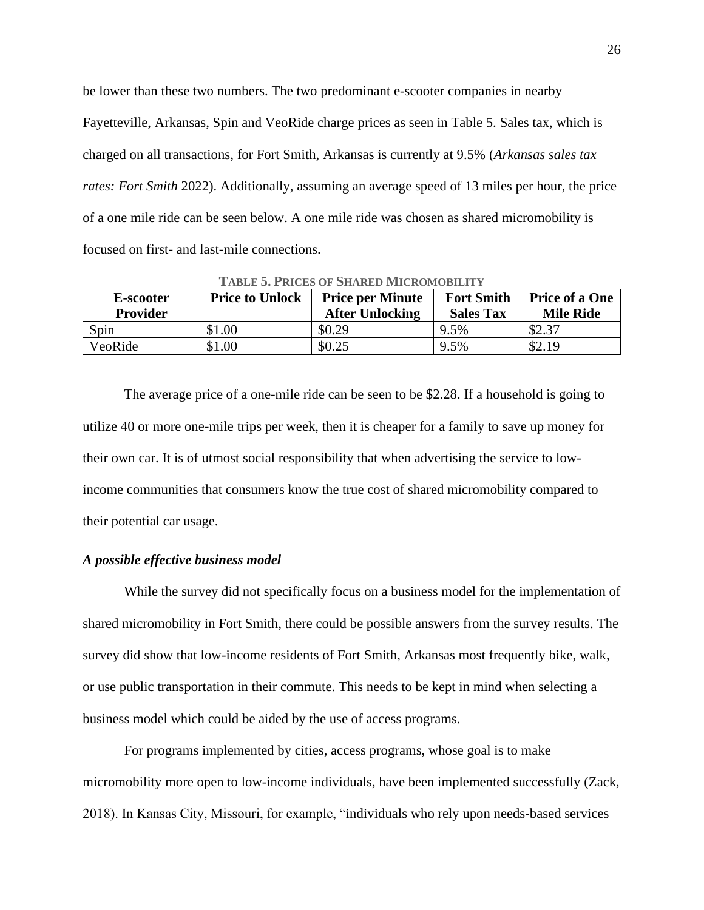be lower than these two numbers. The two predominant e-scooter companies in nearby Fayetteville, Arkansas, Spin and VeoRide charge prices as seen in [Table 5.](#page-30-1) Sales tax, which is charged on all transactions, for Fort Smith, Arkansas is currently at 9.5% (*Arkansas sales tax rates: Fort Smith* 2022). Additionally, assuming an average speed of 13 miles per hour, the price of a one mile ride can be seen below. A one mile ride was chosen as shared micromobility is focused on first- and last-mile connections.

<span id="page-30-1"></span>

| E-scooter<br><b>Provider</b> | <b>Price to Unlock</b> | <b>Price per Minute</b><br><b>After Unlocking</b> | <b>Fort Smith</b><br><b>Sales Tax</b> | <b>Price of a One</b><br><b>Mile Ride</b> |
|------------------------------|------------------------|---------------------------------------------------|---------------------------------------|-------------------------------------------|
| Spin                         | \$1.00                 | \$0.29                                            | 9.5%                                  | \$2.37                                    |
| VeoRide                      | \$1.00                 | \$0.25                                            | 9.5%                                  | \$2.19                                    |

**TABLE 5. PRICES OF SHARED MICROMOBILITY**

The average price of a one-mile ride can be seen to be \$2.28. If a household is going to utilize 40 or more one-mile trips per week, then it is cheaper for a family to save up money for their own car. It is of utmost social responsibility that when advertising the service to lowincome communities that consumers know the true cost of shared micromobility compared to their potential car usage.

#### <span id="page-30-0"></span>*A possible effective business model*

While the survey did not specifically focus on a business model for the implementation of shared micromobility in Fort Smith, there could be possible answers from the survey results. The survey did show that low-income residents of Fort Smith, Arkansas most frequently bike, walk, or use public transportation in their commute. This needs to be kept in mind when selecting a business model which could be aided by the use of access programs.

For programs implemented by cities, access programs, whose goal is to make micromobility more open to low-income individuals, have been implemented successfully (Zack, 2018). In Kansas City, Missouri, for example, "individuals who rely upon needs-based services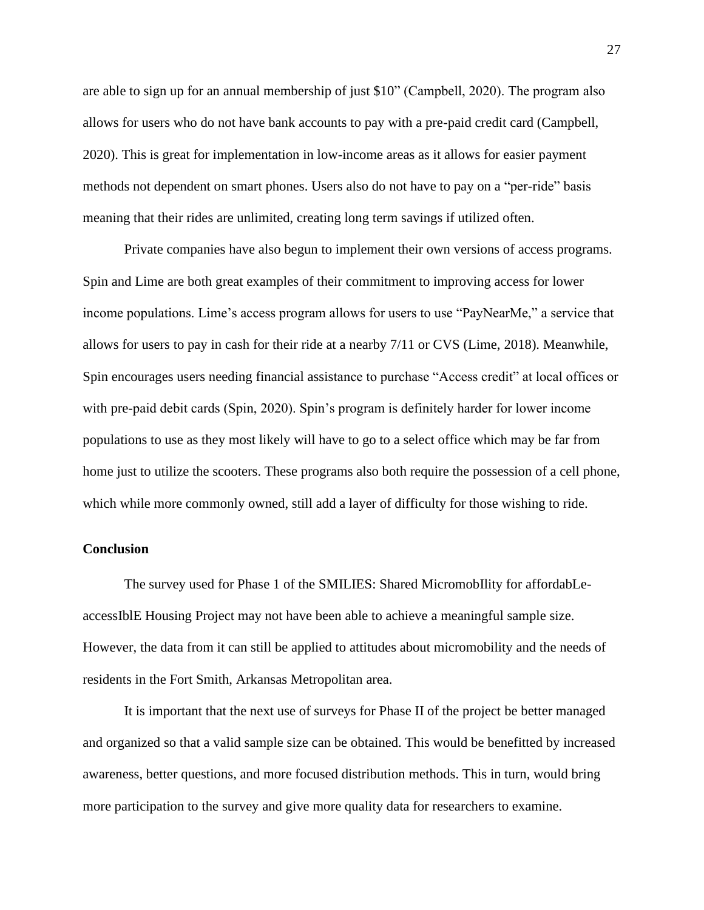are able to sign up for an annual membership of just \$10" (Campbell, 2020). The program also allows for users who do not have bank accounts to pay with a pre-paid credit card (Campbell, 2020). This is great for implementation in low-income areas as it allows for easier payment methods not dependent on smart phones. Users also do not have to pay on a "per-ride" basis meaning that their rides are unlimited, creating long term savings if utilized often.

Private companies have also begun to implement their own versions of access programs. Spin and Lime are both great examples of their commitment to improving access for lower income populations. Lime's access program allows for users to use "PayNearMe," a service that allows for users to pay in cash for their ride at a nearby 7/11 or CVS (Lime, 2018). Meanwhile, Spin encourages users needing financial assistance to purchase "Access credit" at local offices or with pre-paid debit cards (Spin, 2020). Spin's program is definitely harder for lower income populations to use as they most likely will have to go to a select office which may be far from home just to utilize the scooters. These programs also both require the possession of a cell phone, which while more commonly owned, still add a layer of difficulty for those wishing to ride.

### <span id="page-31-0"></span>**Conclusion**

The survey used for Phase 1 of the SMILIES: Shared MicromobIlity for affordabLeaccessIblE Housing Project may not have been able to achieve a meaningful sample size. However, the data from it can still be applied to attitudes about micromobility and the needs of residents in the Fort Smith, Arkansas Metropolitan area.

It is important that the next use of surveys for Phase II of the project be better managed and organized so that a valid sample size can be obtained. This would be benefitted by increased awareness, better questions, and more focused distribution methods. This in turn, would bring more participation to the survey and give more quality data for researchers to examine.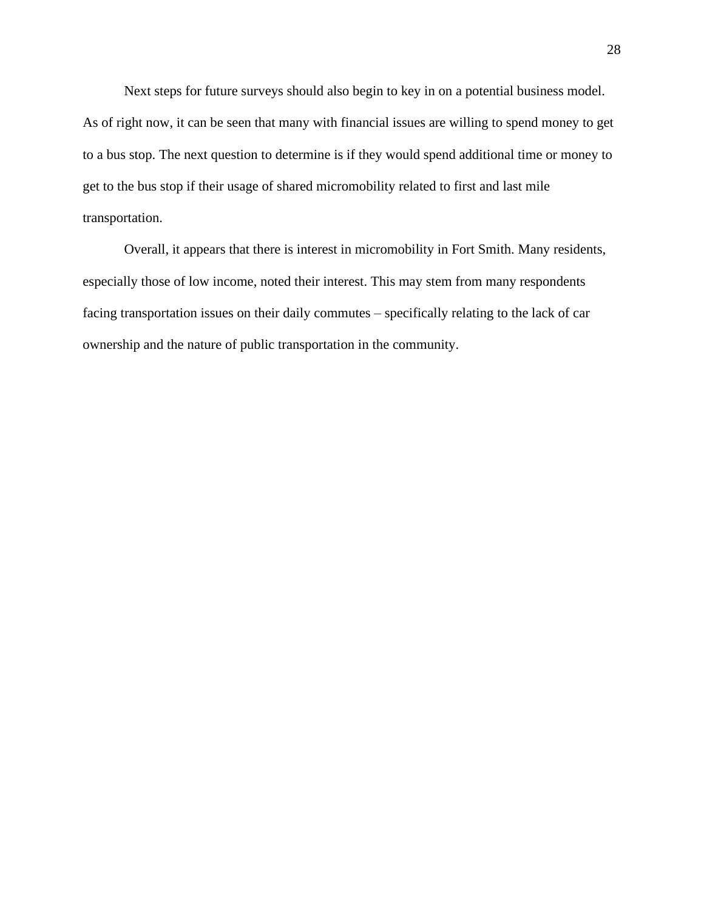Next steps for future surveys should also begin to key in on a potential business model. As of right now, it can be seen that many with financial issues are willing to spend money to get to a bus stop. The next question to determine is if they would spend additional time or money to get to the bus stop if their usage of shared micromobility related to first and last mile transportation.

Overall, it appears that there is interest in micromobility in Fort Smith. Many residents, especially those of low income, noted their interest. This may stem from many respondents facing transportation issues on their daily commutes – specifically relating to the lack of car ownership and the nature of public transportation in the community.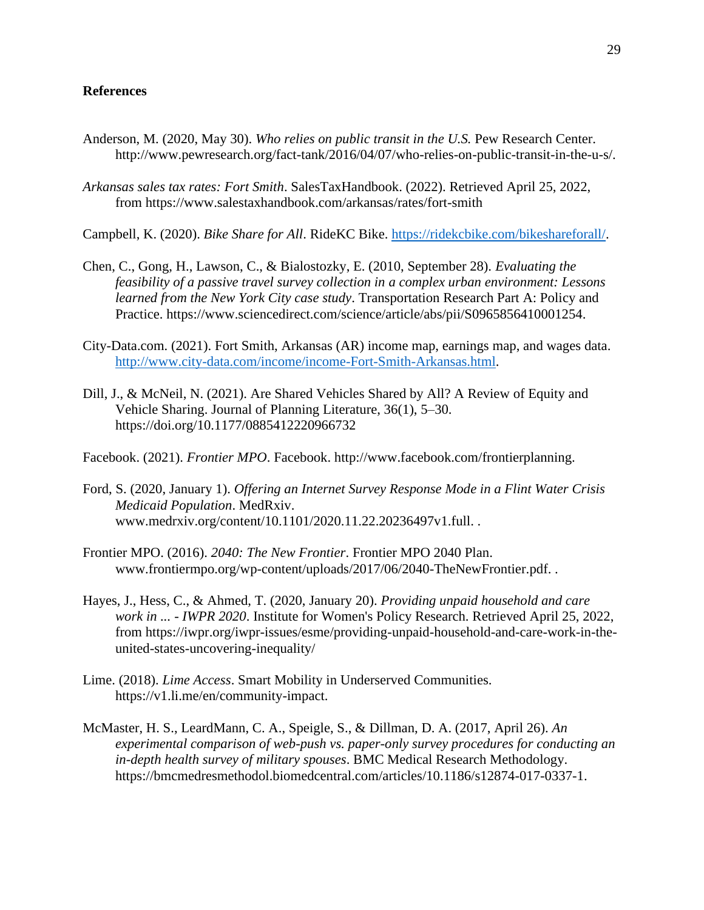## <span id="page-33-0"></span>**References**

- Anderson, M. (2020, May 30). *Who relies on public transit in the U.S.* Pew Research Center. http://www.pewresearch.org/fact-tank/2016/04/07/who-relies-on-public-transit-in-the-u-s/.
- *Arkansas sales tax rates: Fort Smith*. SalesTaxHandbook. (2022). Retrieved April 25, 2022, from https://www.salestaxhandbook.com/arkansas/rates/fort-smith
- Campbell, K. (2020). *Bike Share for All*. RideKC Bike. [https://ridekcbike.com/bikeshareforall/.](https://ridekcbike.com/bikeshareforall/)
- Chen, C., Gong, H., Lawson, C., & Bialostozky, E. (2010, September 28). *Evaluating the feasibility of a passive travel survey collection in a complex urban environment: Lessons learned from the New York City case study*. Transportation Research Part A: Policy and Practice. https://www.sciencedirect.com/science/article/abs/pii/S0965856410001254.
- City-Data.com. (2021). Fort Smith, Arkansas (AR) income map, earnings map, and wages data. [http://www.city-data.com/income/income-Fort-Smith-Arkansas.html.](http://www.city-data.com/income/income-Fort-Smith-Arkansas.html)
- Dill, J., & McNeil, N. (2021). Are Shared Vehicles Shared by All? A Review of Equity and Vehicle Sharing. Journal of Planning Literature, 36(1), 5–30. https://doi.org/10.1177/0885412220966732
- Facebook. (2021). *Frontier MPO*. Facebook. http://www.facebook.com/frontierplanning.
- Ford, S. (2020, January 1). *Offering an Internet Survey Response Mode in a Flint Water Crisis Medicaid Population*. MedRxiv. www.medrxiv.org/content/10.1101/2020.11.22.20236497v1.full. .
- Frontier MPO. (2016). *2040: The New Frontier*. Frontier MPO 2040 Plan. www.frontiermpo.org/wp-content/uploads/2017/06/2040-TheNewFrontier.pdf. .
- Hayes, J., Hess, C., & Ahmed, T. (2020, January 20). *Providing unpaid household and care work in ... - IWPR 2020*. Institute for Women's Policy Research. Retrieved April 25, 2022, from https://iwpr.org/iwpr-issues/esme/providing-unpaid-household-and-care-work-in-theunited-states-uncovering-inequality/
- Lime. (2018). *Lime Access*. Smart Mobility in Underserved Communities. https://v1.li.me/en/community-impact.
- McMaster, H. S., LeardMann, C. A., Speigle, S., & Dillman, D. A. (2017, April 26). *An experimental comparison of web-push vs. paper-only survey procedures for conducting an in-depth health survey of military spouses*. BMC Medical Research Methodology. https://bmcmedresmethodol.biomedcentral.com/articles/10.1186/s12874-017-0337-1.